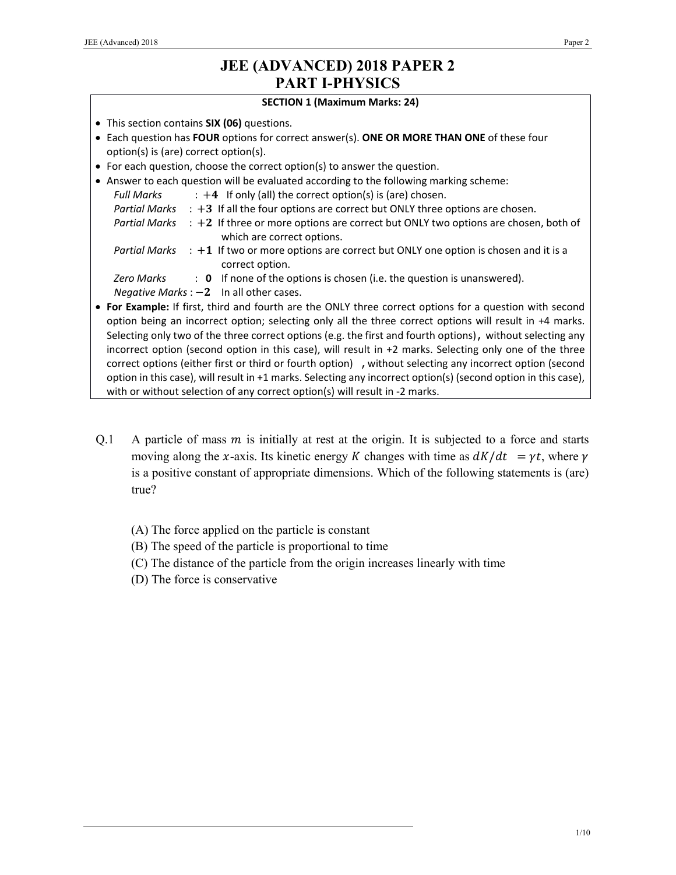### **SECTION 1 (Maximum Marks: 24)**

- This section contains **SIX (06)** questions.
- Each question has **FOUR** options for correct answer(s). **ONE OR MORE THAN ONE** of these four option(s) is (are) correct option(s).
- For each question, choose the correct option(s) to answer the question.
- Answer to each question will be evaluated according to the following marking scheme: *Full Marks*  $\cdot +4$  If only (all) the correct option(s) is (are) chosen. *Partial Marks* : +3 If all the four options are correct but ONLY three options are chosen. *Partial Marks* : +2 If three or more options are correct but ONLY two options are chosen, both of which are correct options. *Partial Marks* : +1 If two or more options are correct but ONLY one option is chosen and it is a correct option. *Zero Marks* : **0** If none of the options is chosen (i.e. the question is unanswered). *Negative Marks* :  $-2$  In all other cases. **For Example:** If first, third and fourth are the ONLY three correct options for a question with second
- option being an incorrect option; selecting only all the three correct options will result in +4 marks. Selecting only two of the three correct options (e.g. the first and fourth options), without selecting any incorrect option (second option in this case), will result in +2 marks. Selecting only one of the three correct options (either first or third or fourth option) , without selecting any incorrect option (second option in this case), will result in +1 marks. Selecting any incorrect option(s) (second option in this case), with or without selection of any correct option(s) will result in -2 marks.
- Q.1 A particle of mass  $m$  is initially at rest at the origin. It is subjected to a force and starts moving along the x-axis. Its kinetic energy K changes with time as  $dK/dt = \gamma t$ , where  $\gamma$ is a positive constant of appropriate dimensions. Which of the following statements is (are) true?
	- (A) The force applied on the particle is constant
	- (B) The speed of the particle is proportional to time
	- (C) The distance of the particle from the origin increases linearly with time
	- (D) The force is conservative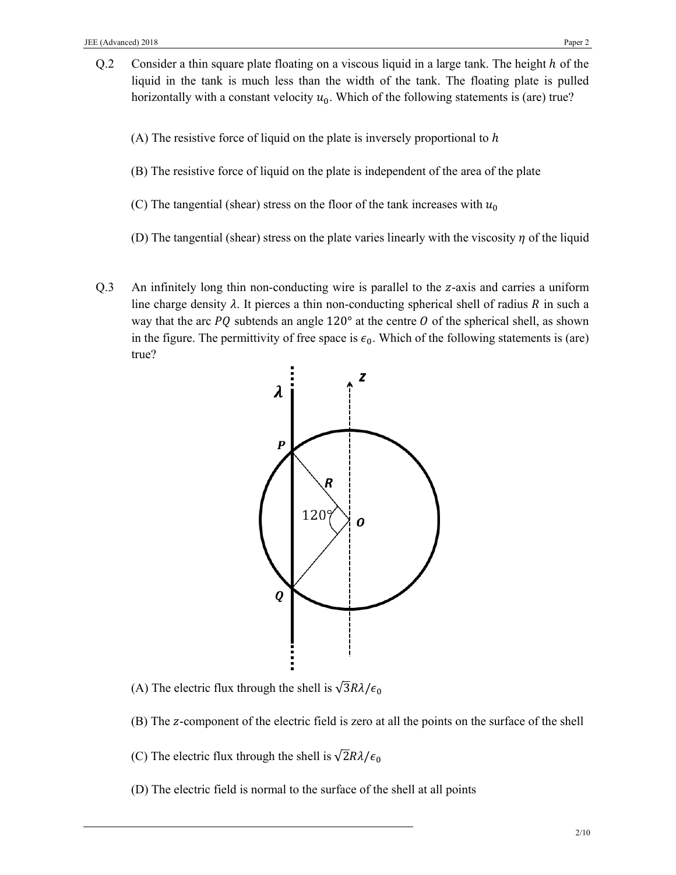- Q.2 Consider a thin square plate floating on a viscous liquid in a large tank. The height  $h$  of the liquid in the tank is much less than the width of the tank. The floating plate is pulled horizontally with a constant velocity  $u_0$ . Which of the following statements is (are) true?
	- (A) The resistive force of liquid on the plate is inversely proportional to  $h$
	- (B) The resistive force of liquid on the plate is independent of the area of the plate
	- (C) The tangential (shear) stress on the floor of the tank increases with  $u_0$
	- (D) The tangential (shear) stress on the plate varies linearly with the viscosity  $\eta$  of the liquid
- Q.3 An infinitely long thin non-conducting wire is parallel to the z-axis and carries a uniform line charge density  $\lambda$ . It pierces a thin non-conducting spherical shell of radius R in such a way that the arc  $PQ$  subtends an angle 120 $^{\circ}$  at the centre O of the spherical shell, as shown in the figure. The permittivity of free space is  $\epsilon_0$ . Which of the following statements is (are) true?



- (A) The electric flux through the shell is  $\sqrt{3}R\lambda/\epsilon_0$
- (B) The z-component of the electric field is zero at all the points on the surface of the shell
- (C) The electric flux through the shell is  $\sqrt{2}R\lambda/\epsilon_0$
- (D) The electric field is normal to the surface of the shell at all points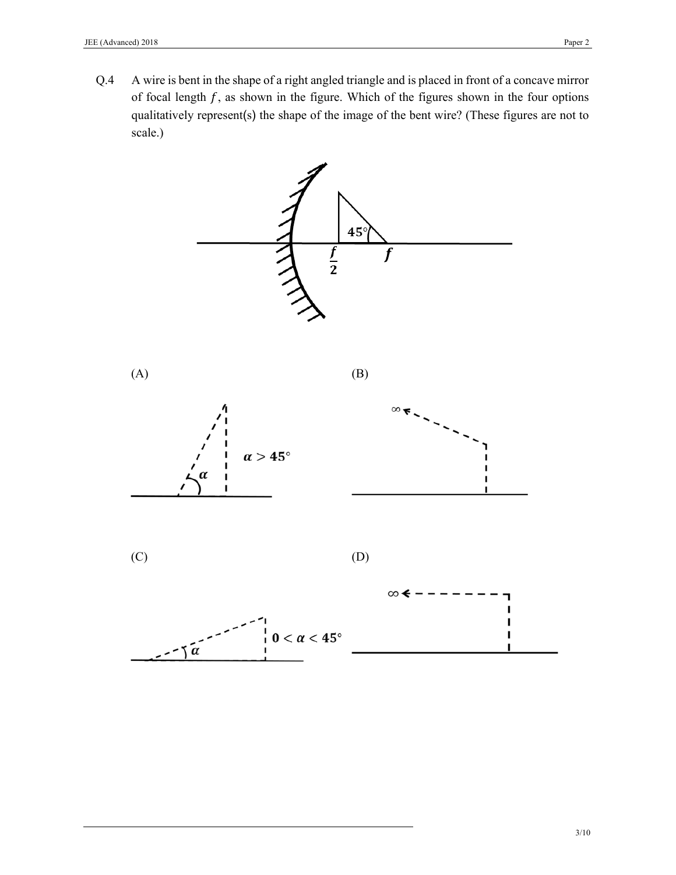Q.4 A wire is bent in the shape of a right angled triangle and is placed in front of a concave mirror of focal length  $f$ , as shown in the figure. Which of the figures shown in the four options qualitatively represent(s) the shape of the image of the bent wire? (These figures are not to scale.)

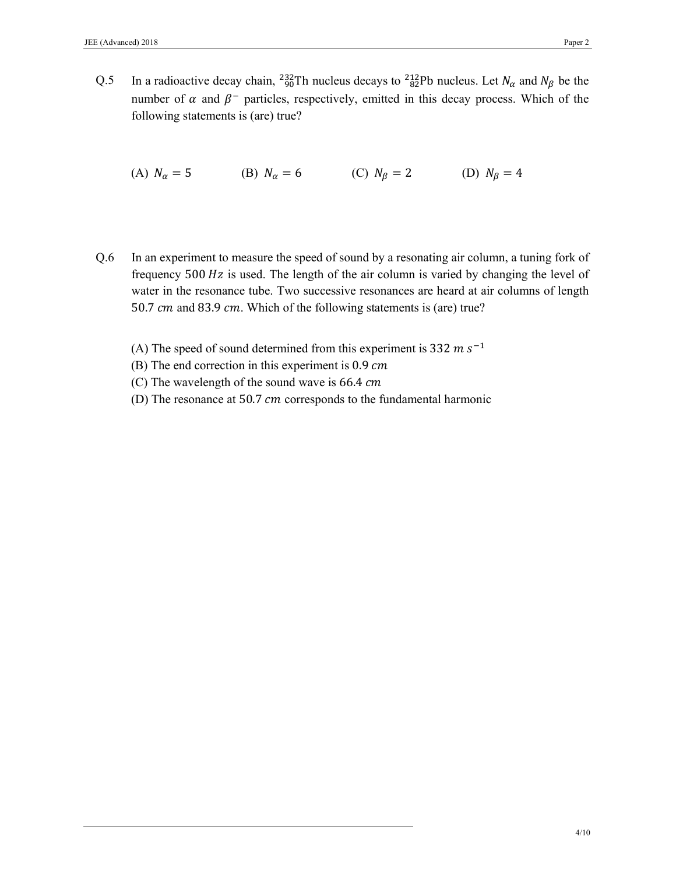Q.5 In a radioactive decay chain, <sup>232</sup>/<sub>90</sub>Th nucleus decays to <sup>212</sup><sub>82</sub>Pb nucleus. Let  $N_{\alpha}$  and  $N_{\beta}$  be the number of  $\alpha$  and  $\beta^-$  particles, respectively, emitted in this decay process. Which of the following statements is (are) true?

(A)  $N_{\alpha} = 5$  (B)  $N_{\alpha} = 6$  (C)  $N_{\beta} = 2$  (D)  $N_{\beta} = 4$ 

- Q.6 In an experiment to measure the speed of sound by a resonating air column, a tuning fork of frequency  $500\ Hz$  is used. The length of the air column is varied by changing the level of water in the resonance tube. Two successive resonances are heard at air columns of length 50.7 cm and 83.9 cm. Which of the following statements is (are) true?
	- (A) The speed of sound determined from this experiment is 332  $m s^{-1}$
	- (B) The end correction in this experiment is  $0.9 \, \text{cm}$
	- (C) The wavelength of the sound wave is  $66.4$   $cm$
	- (D) The resonance at 50.7  $cm$  corresponds to the fundamental harmonic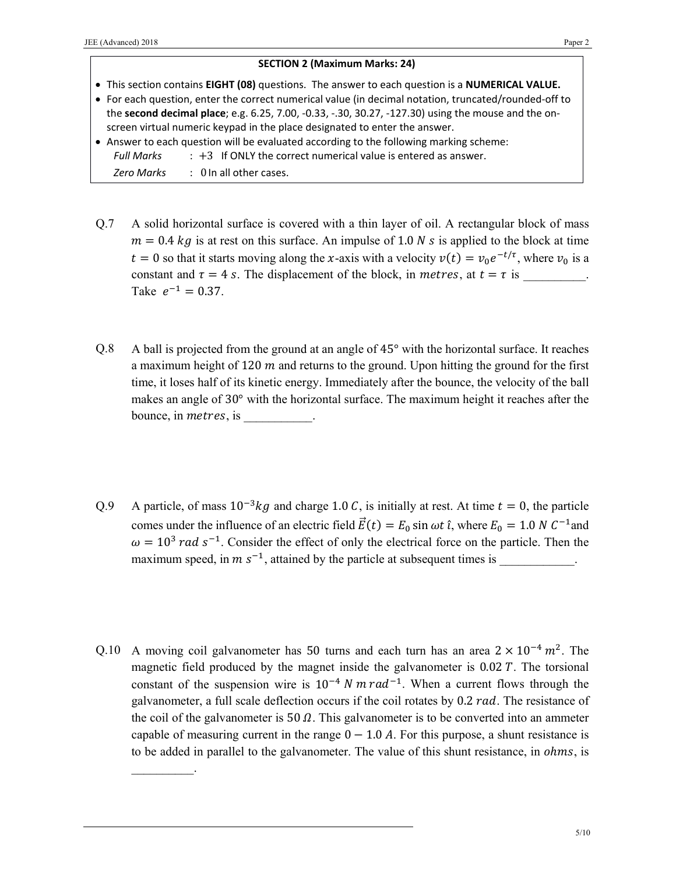## **SECTION 2 (Maximum Marks: 24)**

- This section contains **EIGHT (08)** questions. The answer to each question is a **NUMERICAL VALUE.**
- For each question, enter the correct numerical value (in decimal notation, truncated/rounded‐off to the **second decimal place**; e.g. 6.25, 7.00, ‐0.33, ‐.30, 30.27, ‐127.30) using the mouse and the on‐ screen virtual numeric keypad in the place designated to enter the answer.
- Answer to each question will be evaluated according to the following marking scheme:
	- *Full Marks* : +3 If ONLY the correct numerical value is entered as answer.

*Zero Marks*  : 0 In all other cases.

 $\mathcal{L}=\mathcal{L}$ 

- Q.7 A solid horizontal surface is covered with a thin layer of oil. A rectangular block of mass  $m = 0.4 \text{ kg}$  is at rest on this surface. An impulse of 1.0 N s is applied to the block at time  $t = 0$  so that it starts moving along the x-axis with a velocity  $v(t) = v_0 e^{-t/\tau}$ , where  $v_0$  is a constant and  $\tau = 4$  s. The displacement of the block, in *metres*, at  $t = \tau$  is Take  $e^{-1} = 0.37$ .
- Q.8 A ball is projected from the ground at an angle of 45° with the horizontal surface. It reaches a maximum height of 120  $m$  and returns to the ground. Upon hitting the ground for the first time, it loses half of its kinetic energy. Immediately after the bounce, the velocity of the ball makes an angle of 30° with the horizontal surface. The maximum height it reaches after the bounce, in *metres*, is
- Q.9 A particle, of mass  $10^{-3}$ kg and charge 1.0 C, is initially at rest. At time  $t = 0$ , the particle comes under the influence of an electric field  $\vec{E}(t) = E_0 \sin \omega t \hat{i}$ , where  $E_0 = 1.0 N C^{-1}$  and  $\omega = 10^3$  rad s<sup>-1</sup>. Consider the effect of only the electrical force on the particle. Then the maximum speed, in  $m s^{-1}$ , attained by the particle at subsequent times is
- Q.10 A moving coil galvanometer has 50 turns and each turn has an area  $2 \times 10^{-4}$  m<sup>2</sup>. The magnetic field produced by the magnet inside the galvanometer is  $0.02 \, \text{T}$ . The torsional constant of the suspension wire is  $10^{-4}$  N m  $rad^{-1}$ . When a current flows through the galvanometer, a full scale deflection occurs if the coil rotates by  $0.2$  rad. The resistance of the coil of the galvanometer is  $50 \Omega$ . This galvanometer is to be converted into an ammeter capable of measuring current in the range  $0 - 1.0$  A. For this purpose, a shunt resistance is to be added in parallel to the galvanometer. The value of this shunt resistance, in *ohms*, is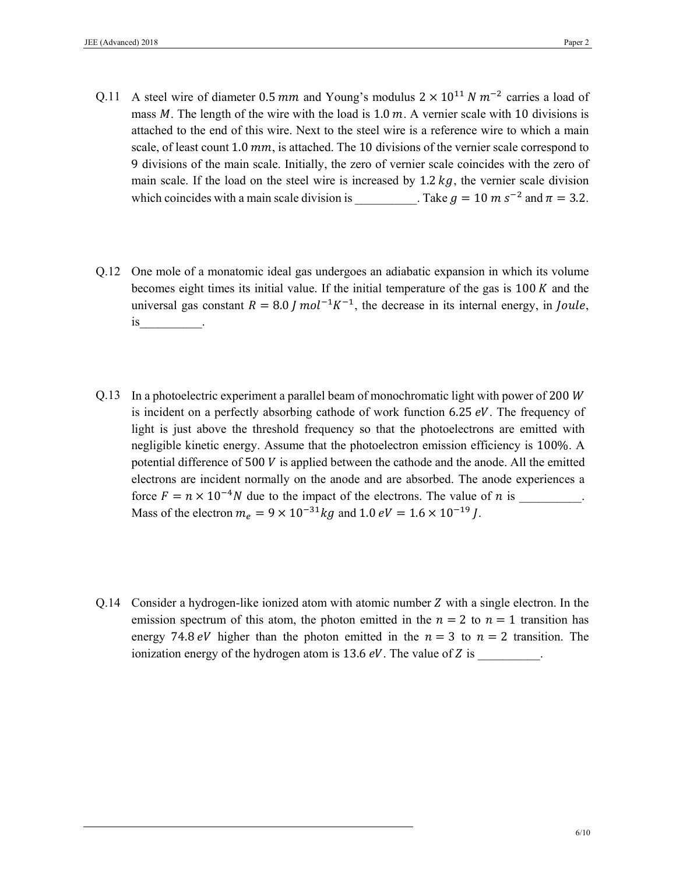- Q.11 A steel wire of diameter 0.5 mm and Young's modulus  $2 \times 10^{11} N m^{-2}$  carries a load of mass  $M$ . The length of the wire with the load is 1.0  $m$ . A vernier scale with 10 divisions is attached to the end of this wire. Next to the steel wire is a reference wire to which a main scale, of least count 1.0  $mm$ , is attached. The 10 divisions of the vernier scale correspond to 9 divisions of the main scale. Initially, the zero of vernier scale coincides with the zero of main scale. If the load on the steel wire is increased by 1.2  $kg$ , the vernier scale division which coincides with a main scale division is  $\therefore$  Take  $q = 10 \text{ m s}^{-2}$  and  $\pi = 3.2$ .
- Q.12 One mole of a monatomic ideal gas undergoes an adiabatic expansion in which its volume becomes eight times its initial value. If the initial temperature of the gas is  $100\,\mathrm{K}$  and the universal gas constant  $R = 8.0$  *I* mol<sup>-1</sup>K<sup>-1</sup>, the decrease in its internal energy, in *Joule*, is\_\_\_\_\_\_\_\_\_\_.
- Q.13 In a photoelectric experiment a parallel beam of monochromatic light with power of 200  $W$ is incident on a perfectly absorbing cathode of work function 6.25  $eV$ . The frequency of light is just above the threshold frequency so that the photoelectrons are emitted with negligible kinetic energy. Assume that the photoelectron emission efficiency is 100%. A potential difference of  $500\,V$  is applied between the cathode and the anode. All the emitted electrons are incident normally on the anode and are absorbed. The anode experiences a force  $F = n \times 10^{-4} N$  due to the impact of the electrons. The value of *n* is Mass of the electron  $m_e = 9 \times 10^{-31} kg$  and 1.0  $eV = 1.6 \times 10^{-19} J$ .
- Q.14 Consider a hydrogen-like ionized atom with atomic number Z with a single electron. In the emission spectrum of this atom, the photon emitted in the  $n = 2$  to  $n = 1$  transition has energy 74.8 eV higher than the photon emitted in the  $n = 3$  to  $n = 2$  transition. The ionization energy of the hydrogen atom is  $13.6 \, \text{eV}$ . The value of  $Z$  is  $\cdot$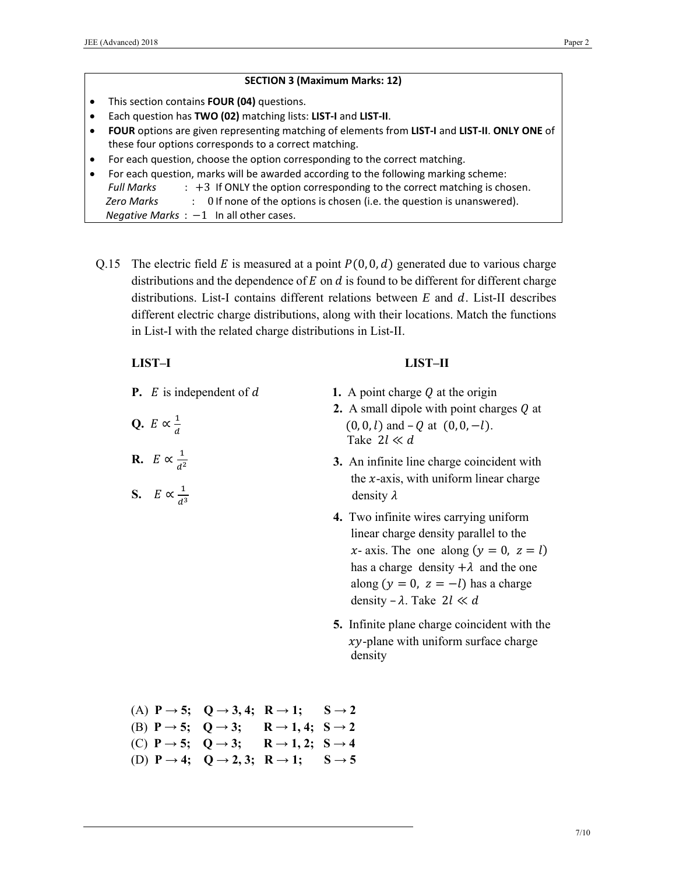|           | <b>SECTION 3 (Maximum Marks: 12)</b>                                                               |  |  |  |
|-----------|----------------------------------------------------------------------------------------------------|--|--|--|
|           | This section contains FOUR (04) questions.                                                         |  |  |  |
|           | Each question has TWO (02) matching lists: LIST-I and LIST-II.                                     |  |  |  |
| $\bullet$ | FOUR options are given representing matching of elements from LIST-I and LIST-II. ONLY ONE of      |  |  |  |
|           | these four options corresponds to a correct matching.                                              |  |  |  |
|           | For each question, choose the option corresponding to the correct matching.                        |  |  |  |
|           | For each question, marks will be awarded according to the following marking scheme:                |  |  |  |
|           | $\div$ +3 If ONLY the option corresponding to the correct matching is chosen.<br><b>Full Marks</b> |  |  |  |
|           | : Of none of the options is chosen (i.e. the question is unanswered).<br>Zero Marks                |  |  |  |
|           | Negative Marks $: -1$ In all other cases.                                                          |  |  |  |

Q.15 The electric field E is measured at a point  $P(0, 0, d)$  generated due to various charge distributions and the dependence of  $E$  on  $d$  is found to be different for different charge distributions. List-I contains different relations between *E* and *d*. List-II describes different electric charge distributions, along with their locations. Match the functions in List-I with the related charge distributions in List-II.

# **LIST–I**

Q.  $E \propto \frac{1}{d}$ 

**R.**  $E \propto \frac{1}{d^2}$ 

**S.**  $E \propto \frac{1}{d^3}$ 

**P.**  $E$  is independent of  $d$ 

|  | 1. A point charge $Q$ at the origin |  |
|--|-------------------------------------|--|

**2.** A small dipole with point charges  $Q$  at  $(0, 0, l)$  and  $-Q$  at  $(0, 0, -l)$ . Take  $2l \ll d$ 

 **LIST–II** 

- **3.** An infinite line charge coincident with the  $x$ -axis, with uniform linear charge density  $\lambda$
- **4.** Two infinite wires carrying uniform linear charge density parallel to the x- axis. The one along  $(y = 0, z = l)$ has a charge density  $+\lambda$  and the one along  $(y = 0, z = -l)$  has a charge density –  $\lambda$ . Take 2l  $\ll d$
- **5.** Infinite plane charge coincident with the  $xy$ -plane with uniform surface charge density
- (A)  $P \rightarrow 5$ ;  $Q \rightarrow 3, 4$ ;  $R \rightarrow 1$ ;  $S \rightarrow 2$
- (B)  $P \rightarrow 5$ ;  $Q \rightarrow 3$ ;  $R \rightarrow 1, 4$ ;  $S \rightarrow 2$
- (C)  $P \rightarrow 5$ ;  $Q \rightarrow 3$ ;  $R \rightarrow 1, 2$ ;  $S \rightarrow 4$ (D)  $P \rightarrow 4$ ;  $Q \rightarrow 2, 3$ ;  $R \rightarrow 1$ ;  $S \rightarrow 5$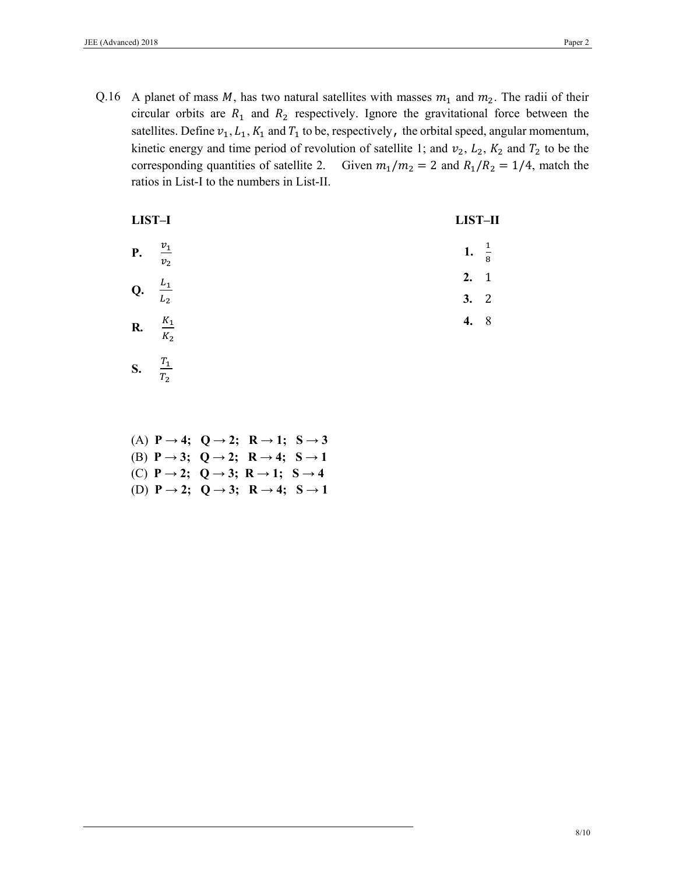Q.16 A planet of mass M, has two natural satellites with masses  $m_1$  and  $m_2$ . The radii of their circular orbits are  $R_1$  and  $R_2$  respectively. Ignore the gravitational force between the satellites. Define  $v_1, L_1, K_1$  and  $T_1$  to be, respectively, the orbital speed, angular momentum, kinetic energy and time period of revolution of satellite 1; and  $v_2$ ,  $L_2$ ,  $K_2$  and  $T_2$  to be the corresponding quantities of satellite 2. Given  $m_1/m_2 = 2$  and  $R_1/R_2 = 1/4$ , match the ratios in List-I to the numbers in List-II.

| LIST-I |                                 | LIST-II |               |  |
|--------|---------------------------------|---------|---------------|--|
| P.     | $\frac{v_1}{\sqrt{2}}$<br>$v_2$ | 1.      | $\frac{1}{8}$ |  |
| Q.     | $L_1$                           | 2.      | $\mathbf{1}$  |  |
|        | L <sub>2</sub>                  | 3.      | 2             |  |
| R.     | $\frac{K_1}{K_2}$               | 4.      | 8             |  |
| S.     | $T_1$<br>$\sim$                 |         |               |  |

(A)  $P \rightarrow 4$ ;  $Q \rightarrow 2$ ;  $R \rightarrow 1$ ;  $S \rightarrow 3$ (B)  $P \rightarrow 3$ ;  $Q \rightarrow 2$ ;  $R \rightarrow 4$ ;  $S \rightarrow 1$ (C)  $P \rightarrow 2$ ;  $Q \rightarrow 3$ ;  $R \rightarrow 1$ ;  $S \rightarrow 4$ (D)  $P \rightarrow 2$ ;  $Q \rightarrow 3$ ;  $R \rightarrow 4$ ;  $S \rightarrow 1$ 

 $T_{\rm 2}$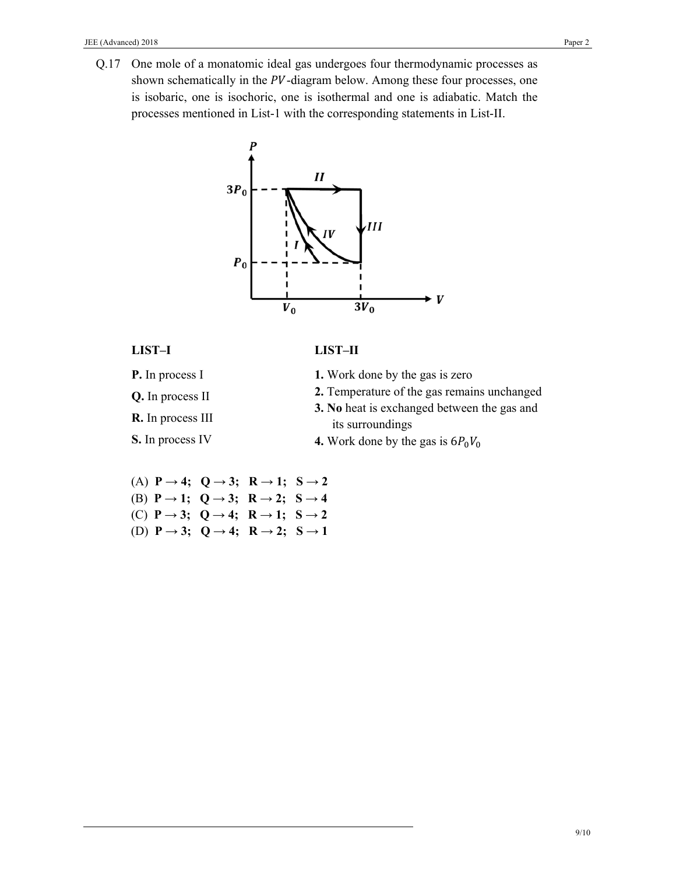Q.17 One mole of a monatomic ideal gas undergoes four thermodynamic processes as shown schematically in the PV-diagram below. Among these four processes, one is isobaric, one is isochoric, one is isothermal and one is adiabatic. Match the processes mentioned in List-1 with the corresponding statements in List-II.



# **LIST–I**

**LIST–II** 

- **P.** In process I
- **Q.** In process II
- **R.** In process III

**S.** In process IV

- **1.** Work done by the gas is zero
- **2.** Temperature of the gas remains unchanged
- **3. No** heat is exchanged between the gas and its surroundings
- **4.** Work done by the gas is  $6P_0V_0$
- (A)  $P \rightarrow 4$ ;  $Q \rightarrow 3$ ;  $R \rightarrow 1$ ;  $S \rightarrow 2$ (B)  $P \rightarrow 1$ ;  $Q \rightarrow 3$ ;  $R \rightarrow 2$ ;  $S \rightarrow 4$ (C)  $P \rightarrow 3$ ;  $Q \rightarrow 4$ ;  $R \rightarrow 1$ ;  $S \rightarrow 2$ (D)  $P \rightarrow 3$ ;  $Q \rightarrow 4$ ;  $R \rightarrow 2$ ;  $S \rightarrow 1$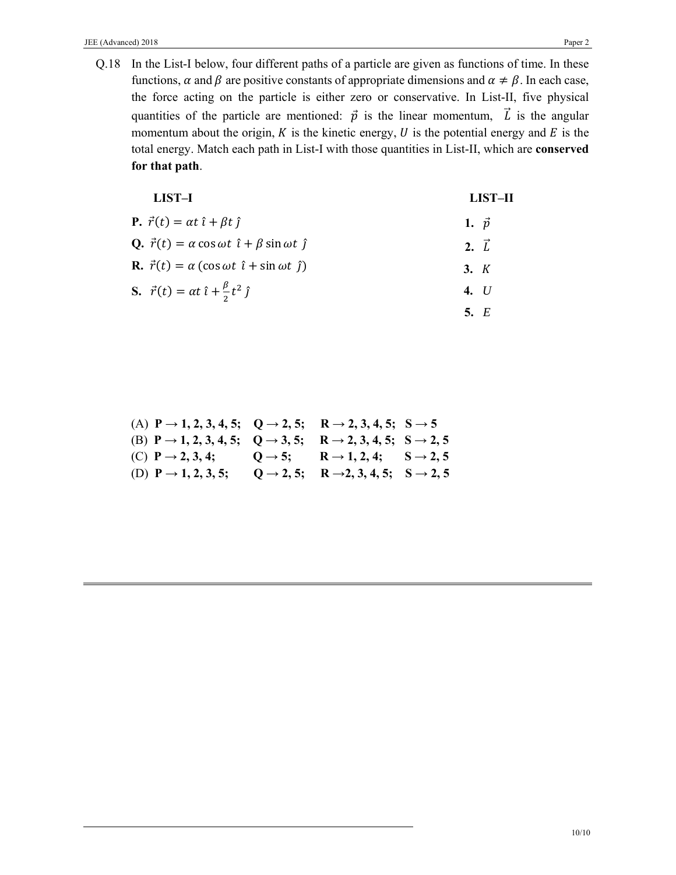Q.18 In the List-I below, four different paths of a particle are given as functions of time. In these functions,  $\alpha$  and  $\beta$  are positive constants of appropriate dimensions and  $\alpha \neq \beta$ . In each case, the force acting on the particle is either zero or conservative. In List-II, five physical quantities of the particle are mentioned:  $\vec{p}$  is the linear momentum,  $\vec{L}$  is the angular momentum about the origin,  $K$  is the kinetic energy,  $U$  is the potential energy and  $E$  is the total energy. Match each path in List-I with those quantities in List-II, which are **conserved for that path**.

| LIST-I                                                                              | LIST-II      |
|-------------------------------------------------------------------------------------|--------------|
| <b>P.</b> $\vec{r}(t) = \alpha t \hat{i} + \beta t \hat{j}$                         | 1. $\vec{p}$ |
| <b>Q.</b> $\vec{r}(t) = \alpha \cos \omega t \hat{i} + \beta \sin \omega t \hat{j}$ | $2. \vec{L}$ |
| <b>R.</b> $\vec{r}(t) = \alpha (\cos \omega t \hat{i} + \sin \omega t \hat{j})$     | 3. K         |
| <b>S.</b> $\vec{r}(t) = \alpha t \hat{i} + \frac{\beta}{2} t^2 \hat{j}$             | 4. $U$       |
|                                                                                     | 5. $E$       |

| (A) $P \rightarrow 1, 2, 3, 4, 5; Q \rightarrow 2, 5; R \rightarrow 2, 3, 4, 5; S \rightarrow 5$    |                                                                        |  |
|-----------------------------------------------------------------------------------------------------|------------------------------------------------------------------------|--|
| (B) $P \rightarrow 1, 2, 3, 4, 5; Q \rightarrow 3, 5; R \rightarrow 2, 3, 4, 5; S \rightarrow 2, 5$ |                                                                        |  |
| (C) $P \rightarrow 2, 3, 4;$ $Q \rightarrow 5;$ $R \rightarrow 1, 2, 4;$ $S \rightarrow 2, 5$       |                                                                        |  |
| (D) $P \rightarrow 1, 2, 3, 5;$                                                                     | $Q \rightarrow 2, 5;$ R $\rightarrow 2, 3, 4, 5;$ S $\rightarrow 2, 5$ |  |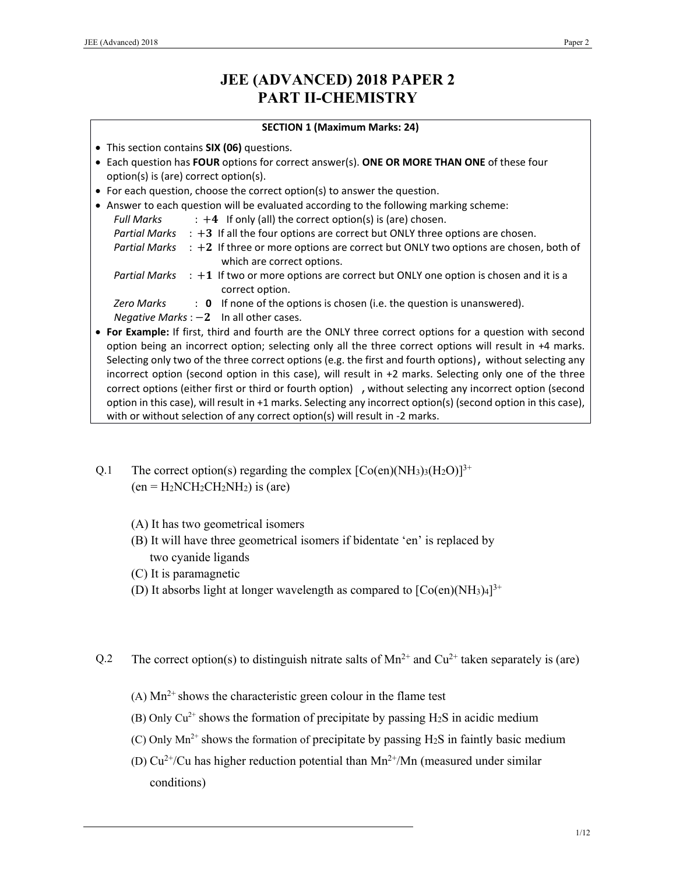# **JEE (ADVANCED) 2018 PAPER 2 PART II-CHEMISTRY**

### **SECTION 1 (Maximum Marks: 24)**

- This section contains **SIX (06)** questions.
- Each question has **FOUR** options for correct answer(s). **ONE OR MORE THAN ONE** of these four option(s) is (are) correct option(s).
- For each question, choose the correct option(s) to answer the question.

|               | • Answer to each question will be evaluated according to the following marking scheme:                                                                                                                                                                                                                                           |
|---------------|----------------------------------------------------------------------------------------------------------------------------------------------------------------------------------------------------------------------------------------------------------------------------------------------------------------------------------|
| Full Marks    | $\div$ +4 If only (all) the correct option(s) is (are) chosen.                                                                                                                                                                                                                                                                   |
|               | Partial Marks $\div$ +3 If all the four options are correct but ONLY three options are chosen.                                                                                                                                                                                                                                   |
| Partial Marks | $\div$ +2 If three or more options are correct but ONLY two options are chosen, both of<br>which are correct options.                                                                                                                                                                                                            |
|               | Partial Marks $\div$ +1 If two or more options are correct but ONLY one option is chosen and it is a<br>correct option.                                                                                                                                                                                                          |
| Zero Marks    | : 0 If none of the options is chosen (i.e. the question is unanswered).                                                                                                                                                                                                                                                          |
|               | Negative Marks : $-2$ In all other cases.                                                                                                                                                                                                                                                                                        |
|               | • For Example: If first, third and fourth are the ONLY three correct options for a question with second<br>option being an incorrect option; selecting only all the three correct options will result in +4 marks.<br>Selecting only two of the three correct options (e.g. the first and fourth options), without selecting any |

- Selecting only two of the three correct options (e.g. the first and fourth options), without selecting any incorrect option (second option in this case), will result in +2 marks. Selecting only one of the three correct options (either first or third or fourth option) , without selecting any incorrect option (second option in this case), will result in +1 marks. Selecting any incorrect option(s) (second option in this case), with or without selection of any correct option(s) will result in -2 marks.
- Q.1 The correct option(s) regarding the complex  $[Co(en)(NH_3)_3(H_2O)]^{3+}$  $(en = H<sub>2</sub>NCH<sub>2</sub>CH<sub>2</sub>NH<sub>2</sub>)$  is (are)
	- (A) It has two geometrical isomers
	- (B) It will have three geometrical isomers if bidentate 'en' is replaced by two cyanide ligands
	- (C) It is paramagnetic
	- (D) It absorbs light at longer wavelength as compared to  $[Co(en)(NH<sub>3</sub>)<sub>4</sub>]^{3+}$
- Q.2 The correct option(s) to distinguish nitrate salts of  $Mn^{2+}$  and  $Cu^{2+}$  taken separately is (are)
	- (A)  $Mn^{2+}$  shows the characteristic green colour in the flame test
	- (B) Only  $Cu^{2+}$  shows the formation of precipitate by passing H<sub>2</sub>S in acidic medium
	- (C) Only  $Mn^{2+}$  shows the formation of precipitate by passing H<sub>2</sub>S in faintly basic medium
	- (D)  $Cu^{2+}/Cu$  has higher reduction potential than  $Mn^{2+}/Mn$  (measured under similar conditions)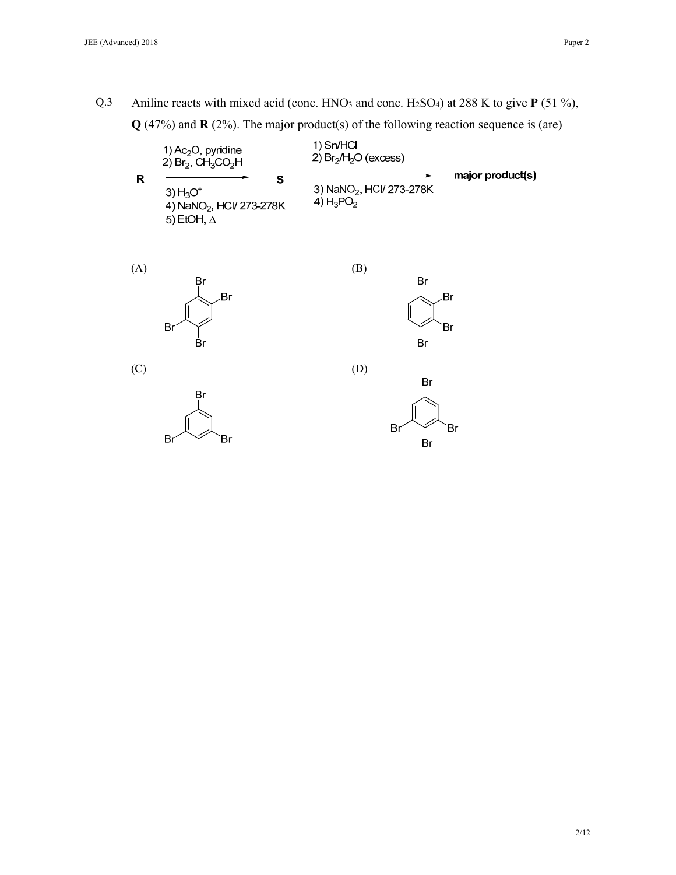Q.3 Aniline reacts with mixed acid (conc. HNO3 and conc. H2SO4) at 288 K to give **P** (51 %), **Q** (47%) and **R** (2%). The major product(s) of the following reaction sequence is (are)

|   | 1) $Ac_2O$ , pyridine<br>2) $Br2$ , CH <sub>3</sub> CO <sub>2</sub> H         | 1) Sn/HCl<br>2) $Br2/H2O$ (excess)                   |                  |
|---|-------------------------------------------------------------------------------|------------------------------------------------------|------------------|
| R | s<br>3) $H_3O^+$<br>4) NaNO <sub>2</sub> , HCI/ 273-278K<br>5) EtOH, $\Delta$ | 3) NaNO <sub>2</sub> , HCI/ 273-278K<br>4) $H_3PO_2$ | major product(s) |

(B)

(D)





(C)





Βr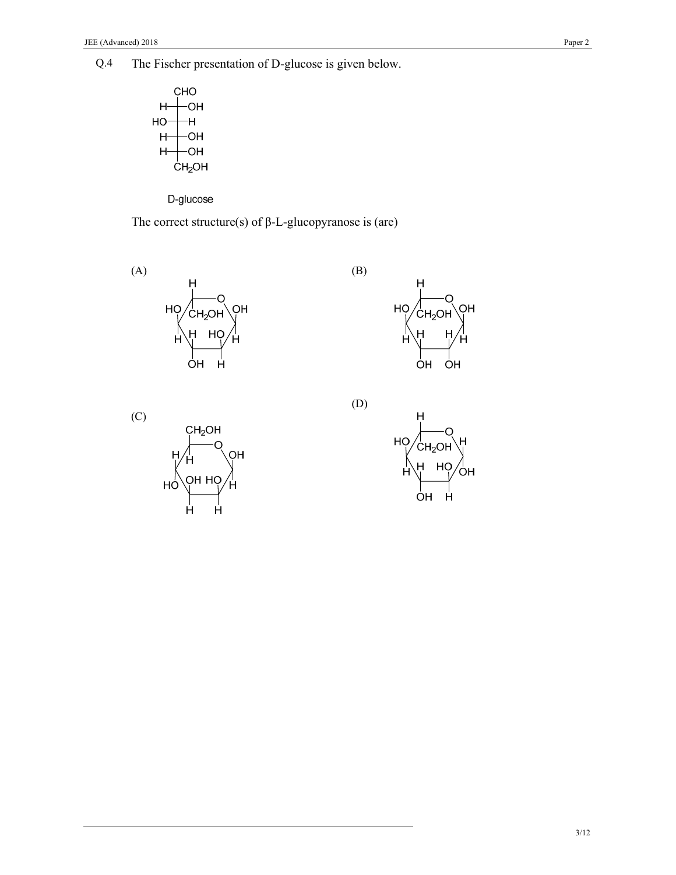Q.4 The Fischer presentation of D-glucose is given below.



D-glucose

The correct structure(s) of  $\beta$ -L-glucopyranose is (are)



(C)



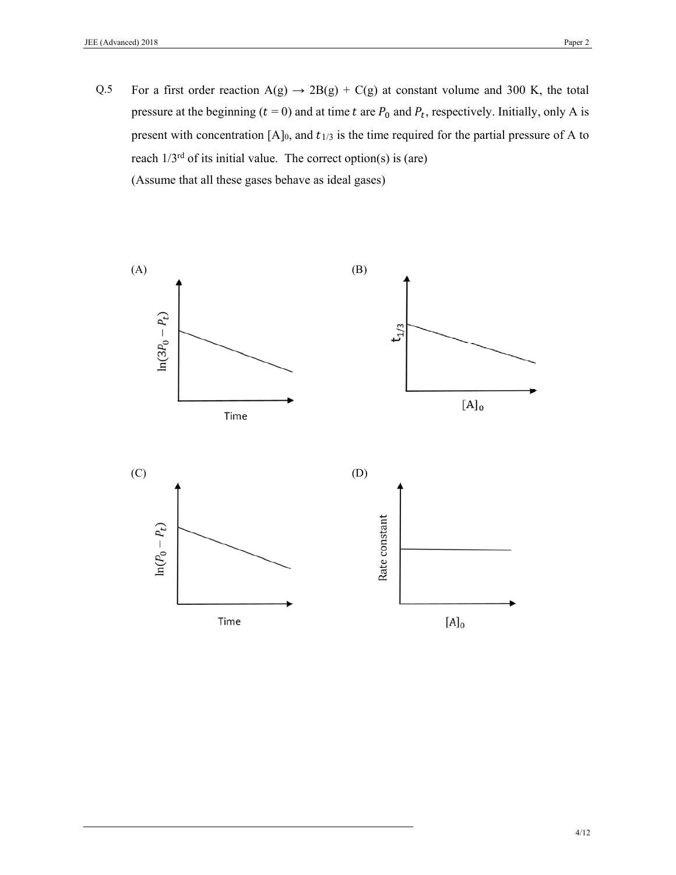Q.5 For a first order reaction  $A(g) \rightarrow 2B(g) + C(g)$  at constant volume and 300 K, the total pressure at the beginning ( $t = 0$ ) and at time t are  $P_0$  and  $P_t$ , respectively. Initially, only A is present with concentration  $[A]_0$ , and  $t_{1/3}$  is the time required for the partial pressure of A to reach  $1/3^{rd}$  of its initial value. The correct option(s) is (are) (Assume that all these gases behave as ideal gases)

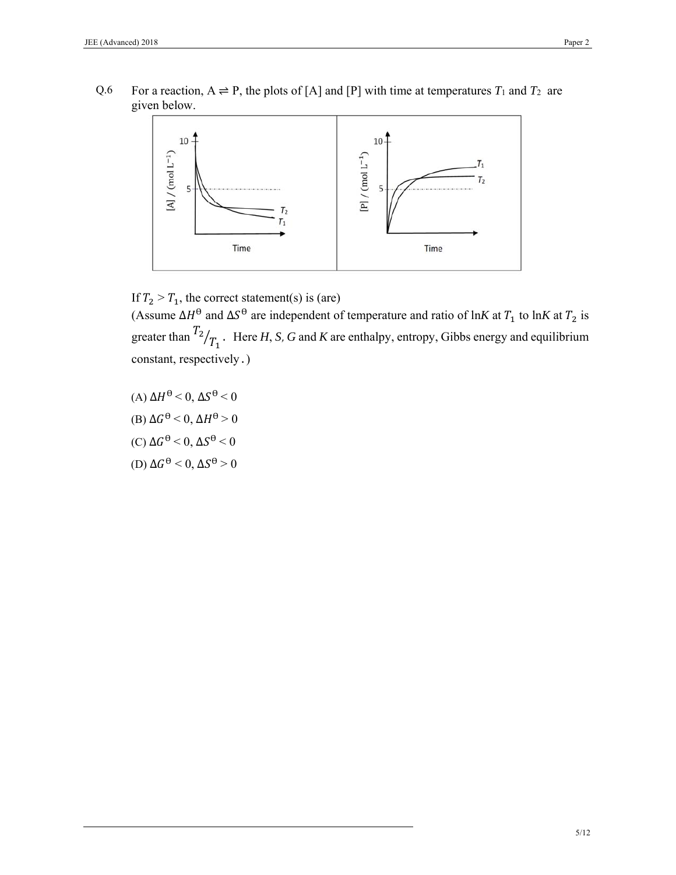Q.6 For a reaction,  $A \rightleftharpoons P$ , the plots of [A] and [P] with time at temperatures  $T_1$  and  $T_2$  are given below.



If  $T_2 > T_1$ , the correct statement(s) is (are)

(Assume  $\Delta H^{\theta}$  and  $\Delta S^{\theta}$  are independent of temperature and ratio of ln*K* at  $T_1$  to ln*K* at  $T_2$  is greater than  $\binom{T_2}{T_1}$ . Here *H*, *S*, *G* and *K* are enthalpy, entropy, Gibbs energy and equilibrium constant, respectively.)

(A)  $\Delta H^{\theta} < 0$ ,  $\Delta S^{\theta} < 0$ (B)  $\Delta G^{\Theta} < 0$ ,  $\Delta H^{\Theta} > 0$ (C)  $\Delta G^{\Theta}$  < 0,  $\Delta S^{\Theta}$  < 0 (D)  $\Delta G^{\Theta}$  < 0,  $\Delta S^{\Theta}$  > 0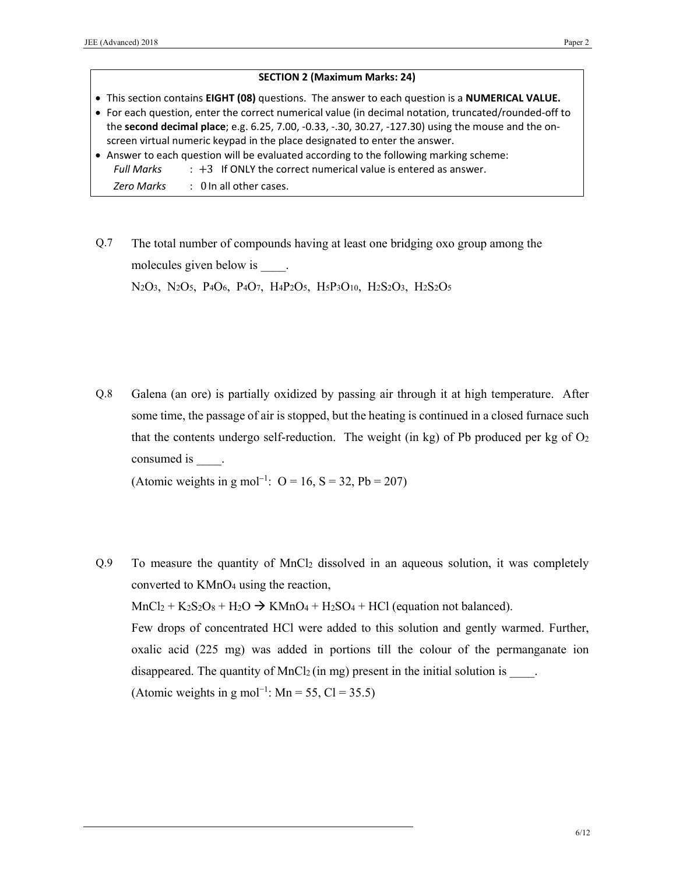### **SECTION 2 (Maximum Marks: 24)**

- This section contains **EIGHT (08)** questions. The answer to each question is a **NUMERICAL VALUE.**
- For each question, enter the correct numerical value (in decimal notation, truncated/rounded‐off to the **second decimal place**; e.g. 6.25, 7.00, ‐0.33, ‐.30, 30.27, ‐127.30) using the mouse and the on‐ screen virtual numeric keypad in the place designated to enter the answer.
- Answer to each question will be evaluated according to the following marking scheme: *Full Marks* : +3 If ONLY the correct numerical value is entered as answer.
	- *Zero Marks*  : 0 In all other cases.
- Q.7 The total number of compounds having at least one bridging oxo group among the molecules given below is  $\qquad$ .

N<sub>2</sub>O<sub>3</sub>, N<sub>2</sub>O<sub>5</sub>, P<sub>4</sub>O<sub>6</sub>, P<sub>4</sub>O<sub>7</sub>, H<sub>4</sub>P<sub>2</sub>O<sub>5</sub>, H<sub>5</sub>P<sub>3</sub>O<sub>10</sub>, H<sub>2</sub>S<sub>2</sub>O<sub>3</sub>, H<sub>2</sub>S<sub>2</sub>O<sub>5</sub>

Q.8 Galena (an ore) is partially oxidized by passing air through it at high temperature. After some time, the passage of air is stopped, but the heating is continued in a closed furnace such that the contents undergo self-reduction. The weight (in kg) of Pb produced per kg of  $O<sub>2</sub>$ consumed is  $\qquad$ .

(Atomic weights in g mol<sup>-1</sup>:  $O = 16$ ,  $S = 32$ ,  $Pb = 207$ )

Q.9 To measure the quantity of MnCl2 dissolved in an aqueous solution, it was completely converted to KMnO4 using the reaction,  $MnCl_2 + K_2S_2O_8 + H_2O \rightarrow KMnO_4 + H_2SO_4 + HCl$  (equation not balanced). Few drops of concentrated HCl were added to this solution and gently warmed. Further, oxalic acid (225 mg) was added in portions till the colour of the permanganate ion disappeared. The quantity of  $MnCl<sub>2</sub>$  (in mg) present in the initial solution is  $\qquad$ . (Atomic weights in g mol<sup>-1</sup>: Mn = 55, Cl = 35.5)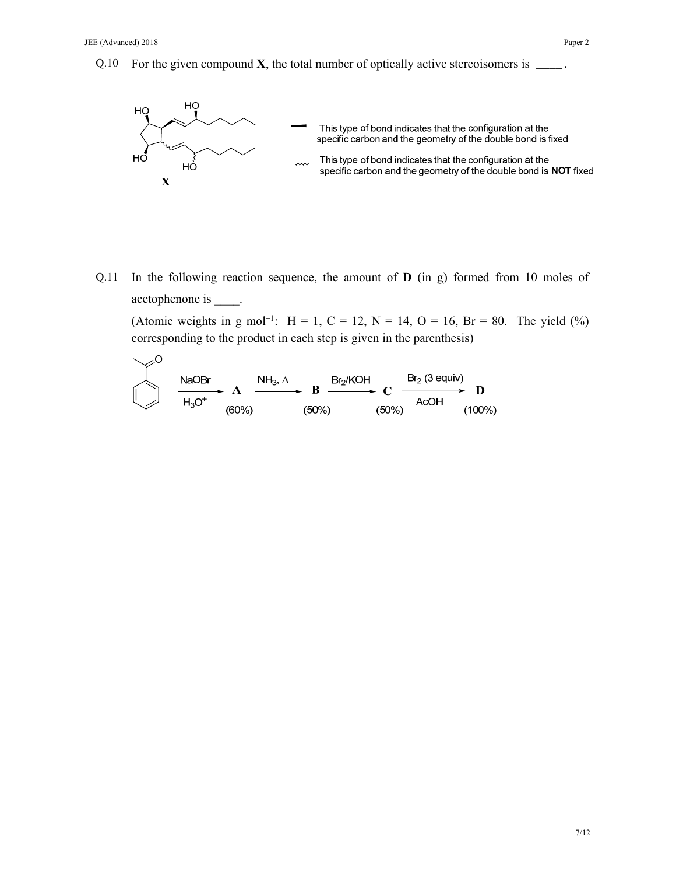Q.10 For the given compound  $X$ , the total number of optically active stereoisomers is  $\_\_$ .



Q.11 In the following reaction sequence, the amount of **D** (in g) formed from 10 moles of acetophenone is \_\_\_\_\_.

(Atomic weights in g mol<sup>-1</sup>: H = 1, C = 12, N = 14, O = 16, Br = 80. The yield (%) corresponding to the product in each step is given in the parenthesis)

| NaOBr    | $A$      | $NH_3$ , $\Delta$ | $Br_2/KOH$ | $Br_2$ (3 equity) |           |
|----------|----------|-------------------|------------|-------------------|-----------|
| $H_3O^+$ | $(60\%)$ | $(50\%)$          | $(50\%)$   | $(60\%)$          | $(100\%)$ |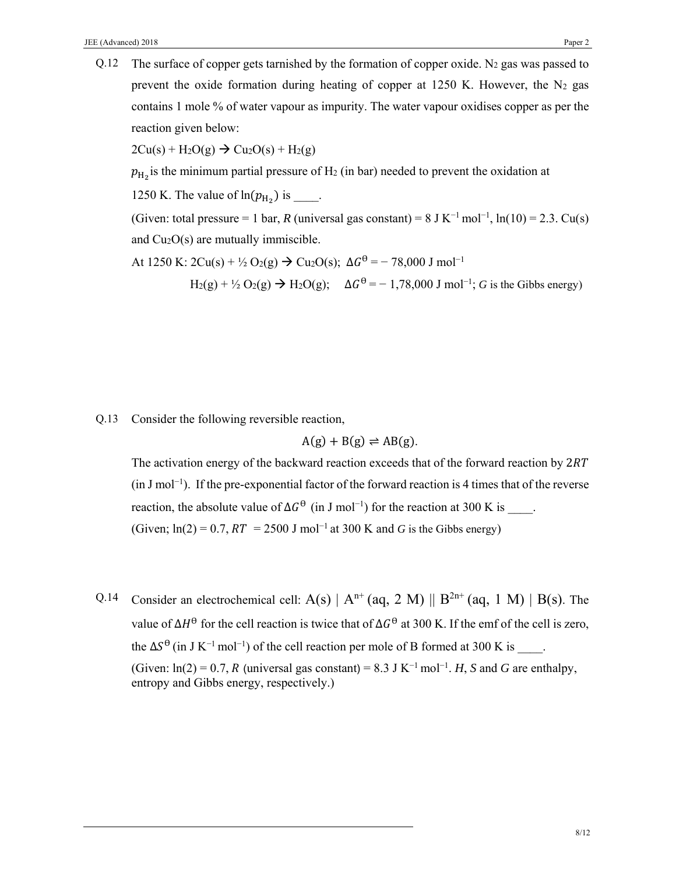Q.12 The surface of copper gets tarnished by the formation of copper oxide. N<sub>2</sub> gas was passed to prevent the oxide formation during heating of copper at  $1250$  K. However, the N<sub>2</sub> gas contains 1 mole % of water vapour as impurity. The water vapour oxidises copper as per the reaction given below:

 $2Cu(s) + H_2O(g) \rightarrow Cu_2O(s) + H_2(g)$ 

 $p_{\text{H}_2}$  is the minimum partial pressure of H<sub>2</sub> (in bar) needed to prevent the oxidation at

1250 K. The value of  $ln(p_{H_2})$  is \_\_\_\_.

(Given: total pressure = 1 bar, *R* (universal gas constant) =  $8 \text{ J K}^{-1}$  mol<sup>-1</sup>, ln(10) = 2.3. Cu(s) and Cu2O(s) are mutually immiscible.

At 1250 K:  $2Cu(s) + \frac{1}{2}O_2(g) \rightarrow Cu_2O(s); \Delta G^{\theta} = -78,000 \text{ J mol}^{-1}$ 

H<sub>2</sub>(g) + ½ O<sub>2</sub>(g) → H<sub>2</sub>O(g);  $\Delta G^{\theta} = -1.78,000$  J mol<sup>-1</sup>; *G* is the Gibbs energy)

Q.13 Consider the following reversible reaction,

$$
A(g) + B(g) \rightleftharpoons AB(g).
$$

The activation energy of the backward reaction exceeds that of the forward reaction by  $2RT$ (in J mol−1). If the pre-exponential factor of the forward reaction is 4 times that of the reverse reaction, the absolute value of  $\Delta G^{\Theta}$  (in J mol<sup>-1</sup>) for the reaction at 300 K is  $\therefore$ (Given;  $ln(2) = 0.7$ ,  $RT = 2500$  J mol<sup>-1</sup> at 300 K and *G* is the Gibbs energy)

Q.14 Consider an electrochemical cell:  $A(s) | A^{n+} (aq, 2 M) || B^{2n+} (aq, 1 M) | B(s)$ . The value of  $\Delta H^{\Theta}$  for the cell reaction is twice that of  $\Delta G^{\Theta}$  at 300 K. If the emf of the cell is zero, the  $\Delta S^{\theta}$  (in J K<sup>-1</sup> mol<sup>-1</sup>) of the cell reaction per mole of B formed at 300 K is  $\ldots$ (Given:  $ln(2) = 0.7$ , *R* (universal gas constant) = 8.3 J K<sup>-1</sup> mol<sup>-1</sup>. *H*, *S* and *G* are enthalpy, entropy and Gibbs energy, respectively.)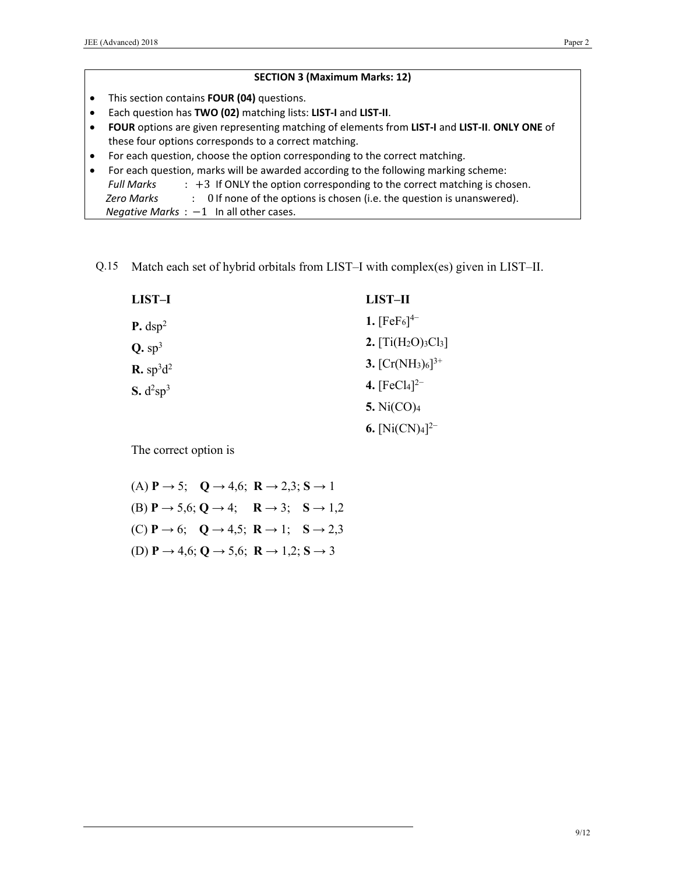|           | <b>SECTION 3 (Maximum Marks: 12)</b>                                                                                                                   |
|-----------|--------------------------------------------------------------------------------------------------------------------------------------------------------|
| $\bullet$ | This section contains <b>FOUR (04)</b> questions.                                                                                                      |
| $\bullet$ | Each question has TWO (02) matching lists: LIST-I and LIST-II.                                                                                         |
| $\bullet$ | FOUR options are given representing matching of elements from LIST-I and LIST-II. ONLY ONE of<br>these four options corresponds to a correct matching. |
| $\bullet$ | For each question, choose the option corresponding to the correct matching.                                                                            |
| $\bullet$ | For each question, marks will be awarded according to the following marking scheme:                                                                    |
|           | $\div$ +3 If ONLY the option corresponding to the correct matching is chosen.<br>Full Marks                                                            |
|           | : Of none of the options is chosen (i.e. the question is unanswered).<br>Zero Marks                                                                    |
|           | Negative Marks $: -1$ In all other cases.                                                                                                              |

Q.15 Match each set of hybrid orbitals from LIST–I with complex(es) given in LIST–II.

| LIST-I                                        | LIST-II                |
|-----------------------------------------------|------------------------|
| $P.$ dsp <sup>2</sup>                         | 1. $[FeF_6]^{4-}$      |
| $Q.$ sp <sup>3</sup>                          | 2. $[Ti(H_2O)_3Cl_3]$  |
| $\mathbf{R}$ . sp <sup>3</sup> d <sup>2</sup> | 3. $[Cr(NH_3)_6]^{3+}$ |
| S. d <sup>2</sup> sp <sup>3</sup>             | 4. $[FeCl4]^{2-}$      |
|                                               | 5. $Ni(CO)4$           |
|                                               | 6. $[Ni(CN)4]^{2-}$    |

The correct option is

 $(A)$  **P**  $\rightarrow$  5; **Q**  $\rightarrow$  4,6; **R**  $\rightarrow$  2,3; **S**  $\rightarrow$  1 (B)  $P \rightarrow 5,6$ ;  $Q \rightarrow 4$ ;  $R \rightarrow 3$ ;  $S \rightarrow 1,2$  $(C)$  **P**  $\rightarrow$  6; **Q**  $\rightarrow$  4,5; **R**  $\rightarrow$  1; **S**  $\rightarrow$  2,3 (D) **P →** 4,6; **Q →** 5,6; **R →** 1,2; **S →** 3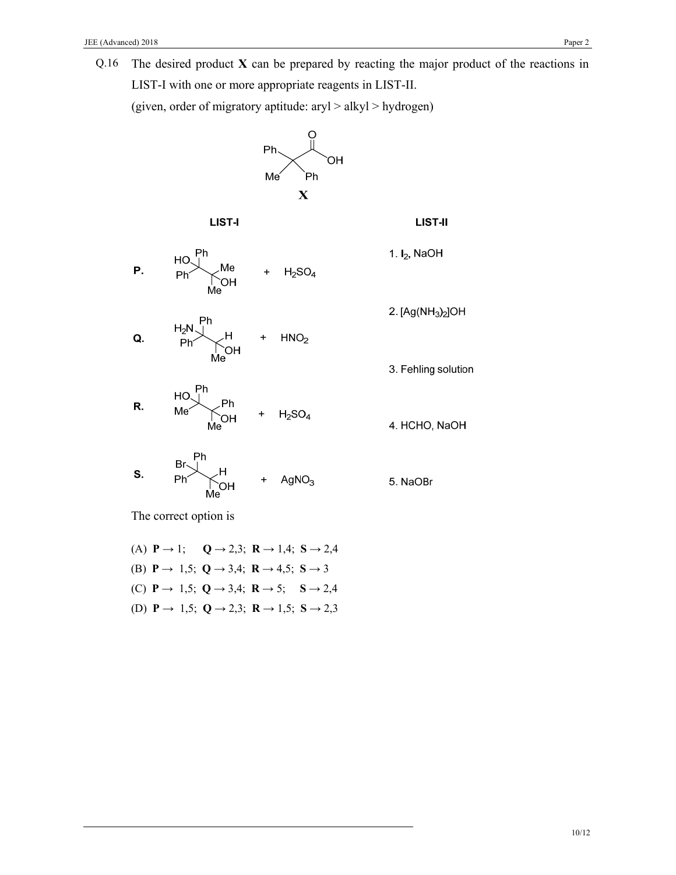Q.16 The desired product **X** can be prepared by reacting the major product of the reactions in LIST-I with one or more appropriate reagents in LIST-II.

(given, order of migratory aptitude: aryl > alkyl > hydrogen)



(A) **P** → 1; **Q** → 2,3; **R** → 1,4; **S** → 2,4 (B) **P →** 1,5; **Q →** 3,4; **R →** 4,5; **S →** 3 (C) **P →** 1,5; **Q →** 3,4; **R →** 5; **S →** 2,4 (D) **P →** 1,5; **Q →** 2,3; **R →** 1,5; **S →** 2,3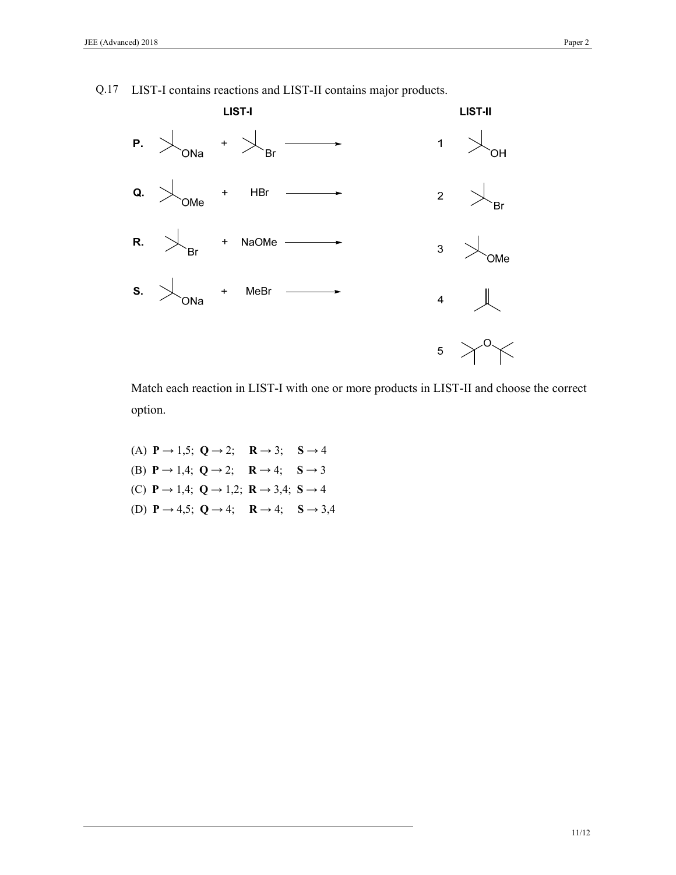

Q.17 LIST-I contains reactions and LIST-II contains major products.

Match each reaction in LIST-I with one or more products in LIST-II and choose the correct option.

(A)  $P \rightarrow 1,5; Q \rightarrow 2; R \rightarrow 3; S \rightarrow 4$ (B)  $P \rightarrow 1,4; Q \rightarrow 2; R \rightarrow 4; S \rightarrow 3$ (C) **P →** 1,4; **Q →** 1,2; **R →** 3,4; **S →** 4 (D) **P →** 4,5; **Q →** 4; **R →** 4; **S →** 3,4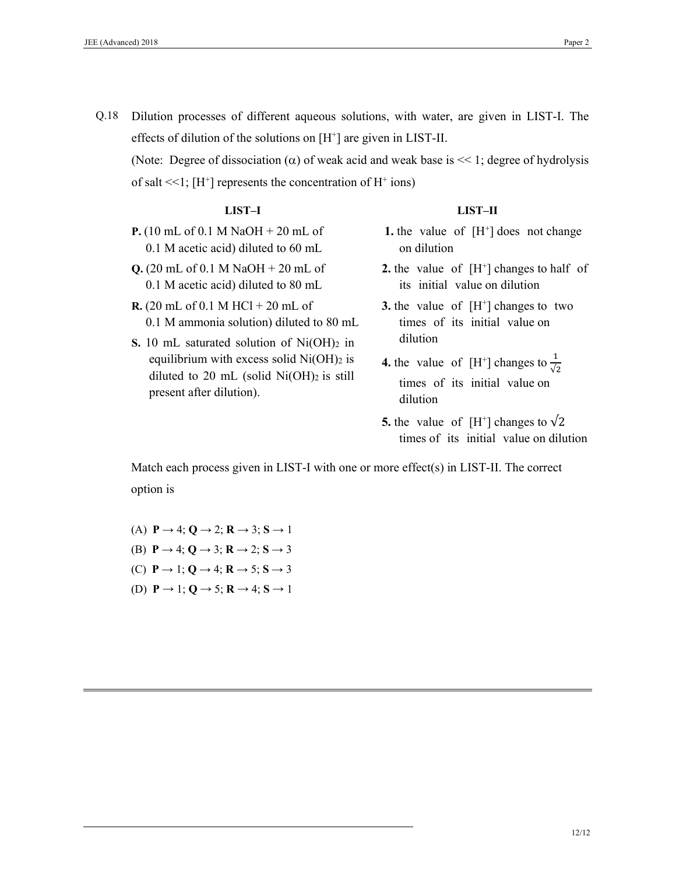Q.18 Dilution processes of different aqueous solutions, with water, are given in LIST-I. The effects of dilution of the solutions on  $[H^+]$  are given in LIST-II.

(Note: Degree of dissociation  $(\alpha)$  of weak acid and weak base is << 1; degree of hydrolysis of salt  $<<$ 1; [H<sup>+</sup>] represents the concentration of H<sup>+</sup> ions)

### **LIST–I**

- **P.** (10 mL of 0.1 M NaOH + 20 mL of 0.1 M acetic acid) diluted to 60 mL
- **Q.** (20 mL of 0.1 M NaOH + 20 mL of 0.1 M acetic acid) diluted to 80 mL
- **R.** (20 mL of 0.1 M HCl + 20 mL of 0.1 M ammonia solution) diluted to 80 mL
- **S.** 10 mL saturated solution of  $Ni(OH)_2$  in equilibrium with excess solid  $Ni(OH)_{2}$  is diluted to 20 mL (solid  $Ni(OH)_{2}$  is still present after dilution).

#### **LIST–II**

- **1.** the value of  $[H^+]$  does not change on dilution
- **2.** the value of  $[H^+]$  changes to half of its initial value on dilution
- **3.** the value of [H<sup>+</sup>] changes to two times of its initial value on dilution
- **4.** the value of  $[H^+]$  changes to  $\frac{1}{\sqrt{2}}$ times of its initial value on dilution
- **5.** the value of  $[H^+]$  changes to  $\sqrt{2}$ times of its initial value on dilution

Match each process given in LIST-I with one or more effect(s) in LIST-II. The correct option is

- (A)  $P \rightarrow 4$ ;  $Q \rightarrow 2$ ;  $R \rightarrow 3$ ;  $S \rightarrow 1$
- (B) **P →** 4; **Q →** 3; **R →** 2; **S →** 3
- (C) **P →** 1; **Q →** 4; **R →** 5; **S →** 3
- (D) **P →** 1; **Q →** 5; **R →** 4; **S →** 1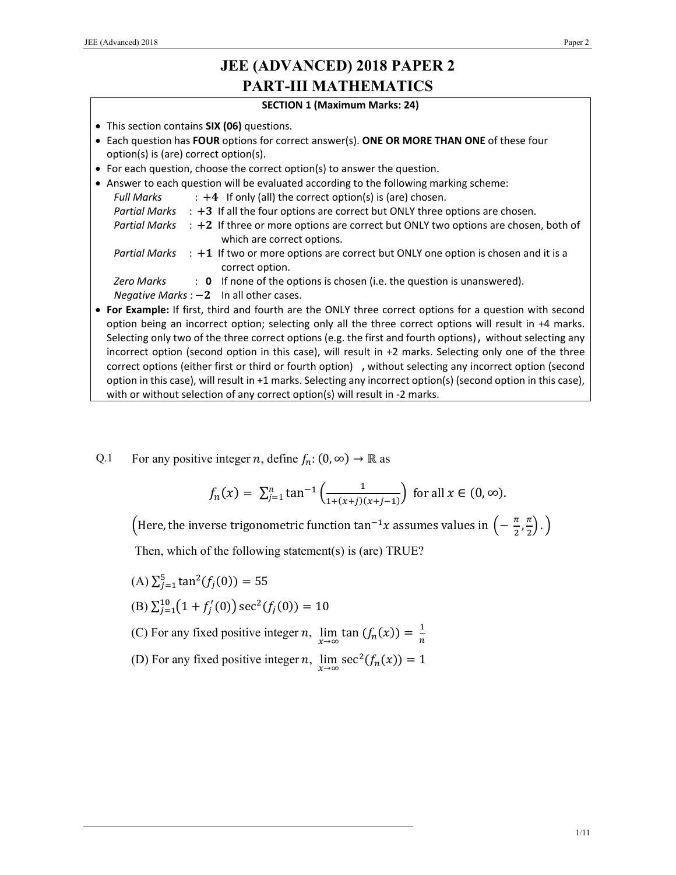# **JEE (ADVANCED) 2018 PAPER 2 PART-III MATHEMATICS**

### **SECTION 1 (Maximum Marks: 24)**

- This section contains **SIX (06)** questions.
- Each question has **FOUR** options for correct answer(s). **ONE OR MORE THAN ONE** of these four option(s) is (are) correct option(s).
- For each question, choose the correct option(s) to answer the question.
- Answer to each question will be evaluated according to the following marking scheme: *Full Marks*  $\cdot +4$  If only (all) the correct option(s) is (are) chosen. Partial Marks : +3 If all the four options are correct but ONLY three options are chosen. *Partial Marks* : +2 If three or more options are correct but ONLY two options are chosen, both of which are correct options. Partial Marks : +1 If two or more options are correct but ONLY one option is chosen and it is a correct option. *Zero Marks* : **0** If none of the options is chosen (i.e. the question is unanswered). *Negative Marks* :  $-2$  In all other cases.
- **For Example:** If first, third and fourth are the ONLY three correct options for a question with second option being an incorrect option; selecting only all the three correct options will result in +4 marks. Selecting only two of the three correct options (e.g. the first and fourth options), without selecting any incorrect option (second option in this case), will result in +2 marks. Selecting only one of the three correct options (either first or third or fourth option) ,without selecting any incorrect option (second option in this case), will result in +1 marks. Selecting any incorrect option(s) (second option in this case), with or without selection of any correct option(s) will result in -2 marks.
- Q.1 For any positive integer *n*, define  $f_n$ :  $(0, \infty) \to \mathbb{R}$  as

$$
f_n(x) = \sum_{j=1}^n \tan^{-1} \left( \frac{1}{1 + (x+j)(x+j-1)} \right) \text{ for all } x \in (0, \infty).
$$

(Here, the inverse trigonometric function  $\tan^{-1}x$  assumes values in  $\left(-\, \frac{\pi}{2}, \frac{\pi}{2}\right)$  $\frac{\pi}{2}$ ).)

Then, which of the following statement(s) is (are) TRUE?

- $(A) \sum_{j=1}^{5} \tan^2(f_j(0)) = 55$
- (B)  $\sum_{j=1}^{10} (1 + f'_j(0)) \sec^2(f_j(0)) = 10$
- (C) For any fixed positive integer *n*,  $\lim_{x \to \infty} \tan(f_n(x)) = \frac{1}{n}$
- (D) For any fixed positive integer *n*,  $\lim_{n \to \infty} \sec^2(f_n(x)) = 1$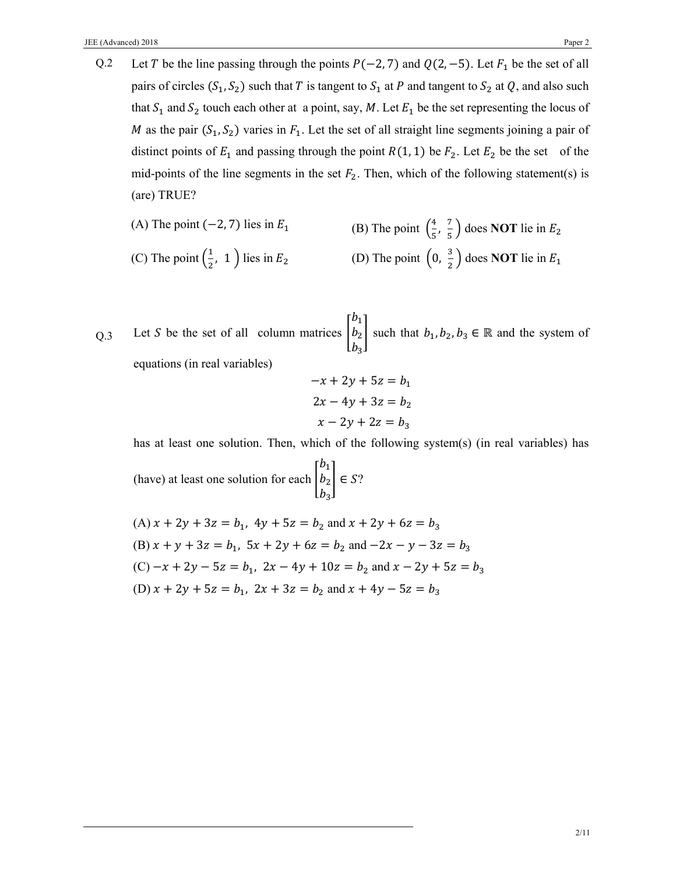Q.2 Let T be the line passing through the points  $P(-2, 7)$  and  $Q(2, -5)$ . Let  $F_1$  be the set of all pairs of circles  $(S_1, S_2)$  such that T is tangent to  $S_1$  at P and tangent to  $S_2$  at Q, and also such that  $S_1$  and  $S_2$  touch each other at a point, say, M. Let  $E_1$  be the set representing the locus of M as the pair  $(S_1, S_2)$  varies in  $F_1$ . Let the set of all straight line segments joining a pair of distinct points of  $E_1$  and passing through the point  $R(1, 1)$  be  $F_2$ . Let  $E_2$  be the set of the mid-points of the line segments in the set  $F_2$ . Then, which of the following statement(s) is (are) TRUE?

(A) The point 
$$
(-2, 7)
$$
 lies in  $E_1$   
\n(B) The point  $(\frac{4}{5}, \frac{7}{5})$  does **NOT** lie in  $E_2$   
\n(C) The point  $(\frac{1}{2}, 1)$  lies in  $E_2$   
\n(D) The point  $(0, \frac{3}{2})$  does **NOT** lie in  $E_1$ 

 $Q.3$  Let S be the set of all column matrices  $b_1$  $b<sub>2</sub>$  $b_3$ such that  $b_1, b_2, b_3 \in \mathbb{R}$  and the system of equations (in real variables)

$$
-x + 2y + 5z = b1
$$

$$
2x - 4y + 3z = b2
$$

$$
x - 2y + 2z = b3
$$

has at least one solution. Then, which of the following system(s) (in real variables) has

(have) at least one solution for each  $b_1$  $b<sub>2</sub>$  $b_3$  $\in$   $S$ ?

(A) 
$$
x + 2y + 3z = b_1
$$
,  $4y + 5z = b_2$  and  $x + 2y + 6z = b_3$   
\n(B)  $x + y + 3z = b_1$ ,  $5x + 2y + 6z = b_2$  and  $-2x - y - 3z = b_3$   
\n(C)  $-x + 2y - 5z = b_1$ ,  $2x - 4y + 10z = b_2$  and  $x - 2y + 5z = b_3$   
\n(D)  $x + 2y + 5z = b_1$ ,  $2x + 3z = b_2$  and  $x + 4y - 5z = b_3$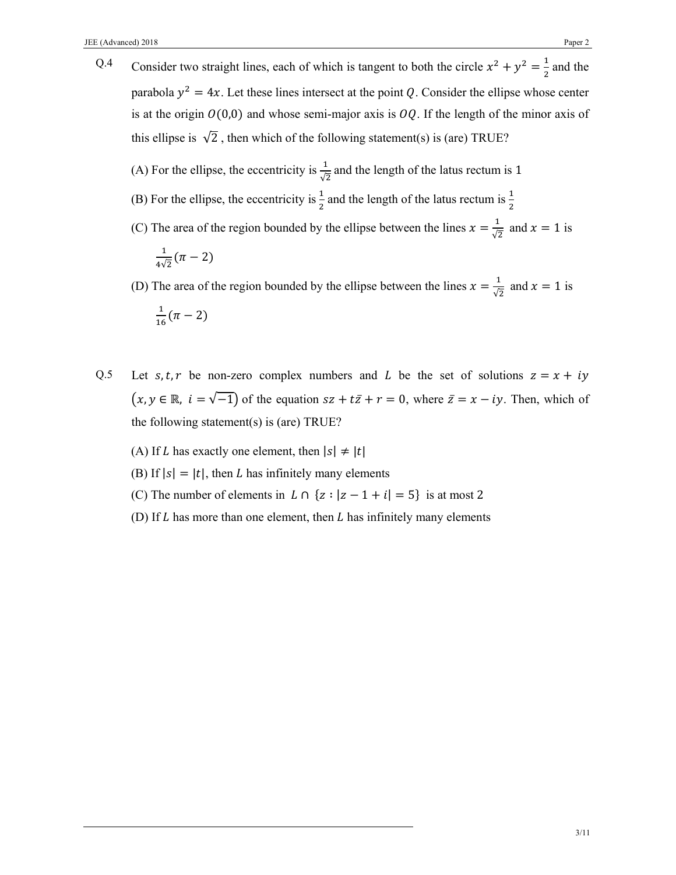- Q.4 Consider two straight lines, each of which is tangent to both the circle  $x^2 + y^2 = \frac{1}{2}$  and the parabola  $y^2 = 4x$ . Let these lines intersect at the point Q. Consider the ellipse whose center is at the origin  $O(0,0)$  and whose semi-major axis is  $OQ$ . If the length of the minor axis of this ellipse is  $\sqrt{2}$ , then which of the following statement(s) is (are) TRUE?
	- (A) For the ellipse, the eccentricity is  $\frac{1}{\sqrt{2}}$  and the length of the latus rectum is 1
	- (B) For the ellipse, the eccentricity is  $\frac{1}{2}$  and the length of the latus rectum is  $\frac{1}{2}$
	- (C) The area of the region bounded by the ellipse between the lines  $x = \frac{1}{5}$  $\frac{1}{\sqrt{2}}$  and  $x = 1$  is

$$
\frac{1}{4\sqrt{2}}(\pi-2)
$$

(D) The area of the region bounded by the ellipse between the lines  $x = \frac{1}{6}$  $\frac{1}{\sqrt{2}}$  and  $x = 1$  is  $\frac{1}{16}(\pi - 2)$ 

- Q.5 Let  $s, t, r$  be non-zero complex numbers and L be the set of solutions  $z = x + iy$  $(x, y \in \mathbb{R}, i = \sqrt{-1}$  of the equation  $sz + t\overline{z} + r = 0$ , where  $\overline{z} = x - iy$ . Then, which of the following statement(s) is (are) TRUE?
	- (A) If L has exactly one element, then  $|s| \neq |t|$
	- (B) If  $|s| = |t|$ , then *L* has infinitely many elements
	- (C) The number of elements in  $L \cap \{z : |z 1 + i| = 5\}$  is at most 2
	- (D) If  $L$  has more than one element, then  $L$  has infinitely many elements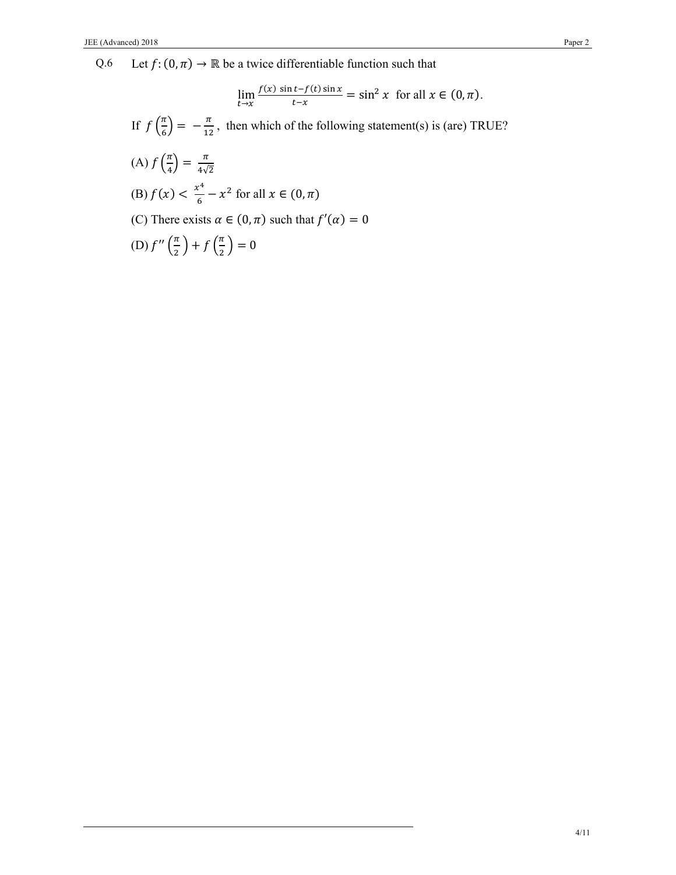$$
\lim_{t \to x} \frac{f(x) \sin t - f(t) \sin x}{t - x} = \sin^2 x \text{ for all } x \in (0, \pi).
$$

If  $f\left(\frac{\pi}{\epsilon}\right)$  $\left(\frac{\pi}{6}\right) = -\frac{\pi}{12}$ , then which of the following statement(s) is (are) TRUE?

(A) 
$$
f\left(\frac{\pi}{4}\right) = \frac{\pi}{4\sqrt{2}}
$$
  
\n(B)  $f(x) < \frac{x^4}{6} - x^2$  for all  $x \in (0, \pi)$   
\n(C) There exists  $\alpha \in (0, \pi)$  such that  $f'(\alpha) = 0$   
\n(D)  $f''\left(\frac{\pi}{2}\right) + f\left(\frac{\pi}{2}\right) = 0$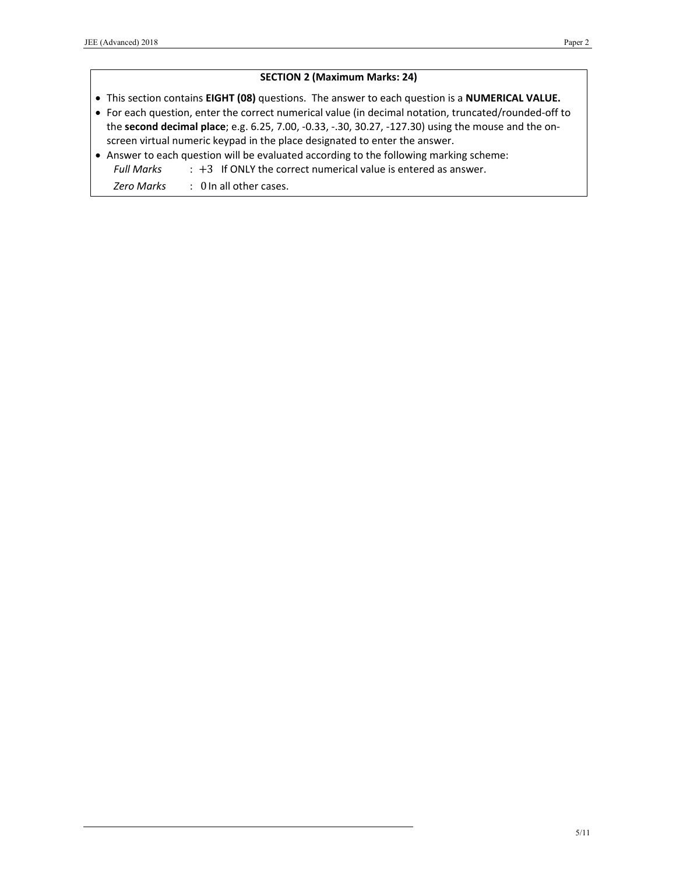## **SECTION 2 (Maximum Marks: 24)**

- This section contains **EIGHT (08)** questions. The answer to each question is a **NUMERICAL VALUE.**
- For each question, enter the correct numerical value (in decimal notation, truncated/rounded‐off to the **second decimal place**; e.g. 6.25, 7.00, ‐0.33, ‐.30, 30.27, ‐127.30) using the mouse and the on‐ screen virtual numeric keypad in the place designated to enter the answer.
- Answer to each question will be evaluated according to the following marking scheme: *Full Marks* : +3 If ONLY the correct numerical value is entered as answer.

*Zero Marks*  : 0 In all other cases.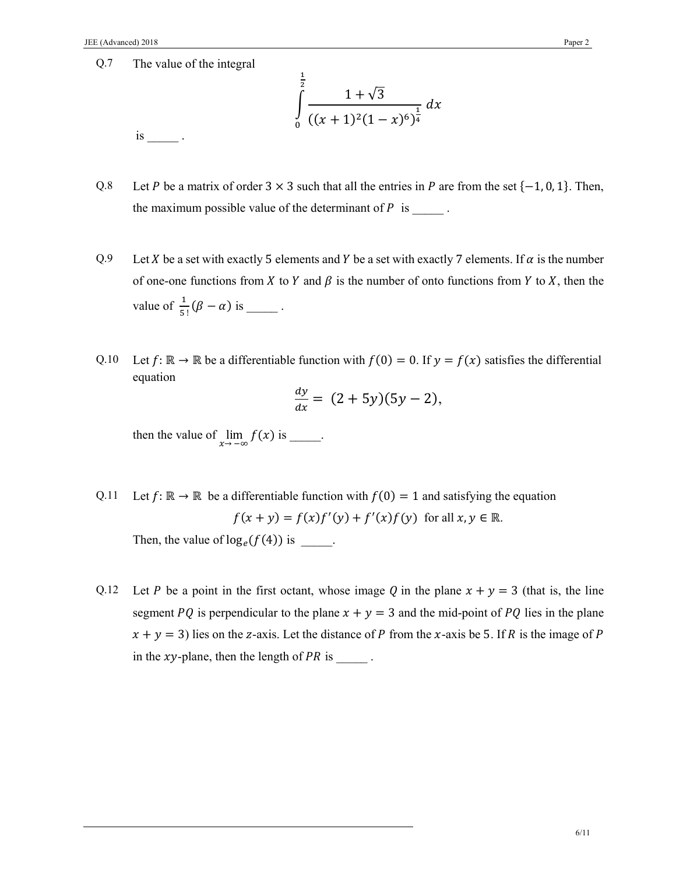is \_\_\_\_\_ .

$$
\int_{0}^{\frac{1}{2}} \frac{1+\sqrt{3}}{((x+1)^2(1-x)^6)^{\frac{1}{4}}} dx
$$

- Q.8 Let P be a matrix of order  $3 \times 3$  such that all the entries in P are from the set  $\{-1, 0, 1\}$ . Then, the maximum possible value of the determinant of  $P$  is  $\qquad \qquad$ .
- Q.9 Let *X* be a set with exactly 5 elements and *Y* be a set with exactly 7 elements. If  $\alpha$  is the number of one-one functions from X to Y and  $\beta$  is the number of onto functions from Y to X, then the value of  $\frac{1}{5!}(\beta - \alpha)$  is \_\_\_\_\_\_.
- Q.10 Let  $f: \mathbb{R} \to \mathbb{R}$  be a differentiable function with  $f(0) = 0$ . If  $y = f(x)$  satisfies the differential equation

$$
\frac{dy}{dx} = (2 + 5y)(5y - 2),
$$

then the value of  $\lim_{x \to \infty} f(x)$  is \_\_\_\_\_.

Q.11 Let  $f: \mathbb{R} \to \mathbb{R}$  be a differentiable function with  $f(0) = 1$  and satisfying the equation  $f(x + y) = f(x)f'(y) + f'(x)f(y)$  for all  $x, y \in \mathbb{R}$ . Then, the value of  $log_e(f(4))$  is  $\qquad$ .

Q.12 Let P be a point in the first octant, whose image Q in the plane  $x + y = 3$  (that is, the line segment PQ is perpendicular to the plane  $x + y = 3$  and the mid-point of PQ lies in the plane  $x + y = 3$ ) lies on the z-axis. Let the distance of P from the x-axis be 5. If R is the image of P in the  $xy$ -plane, then the length of  $PR$  is  $\qquad \qquad$ .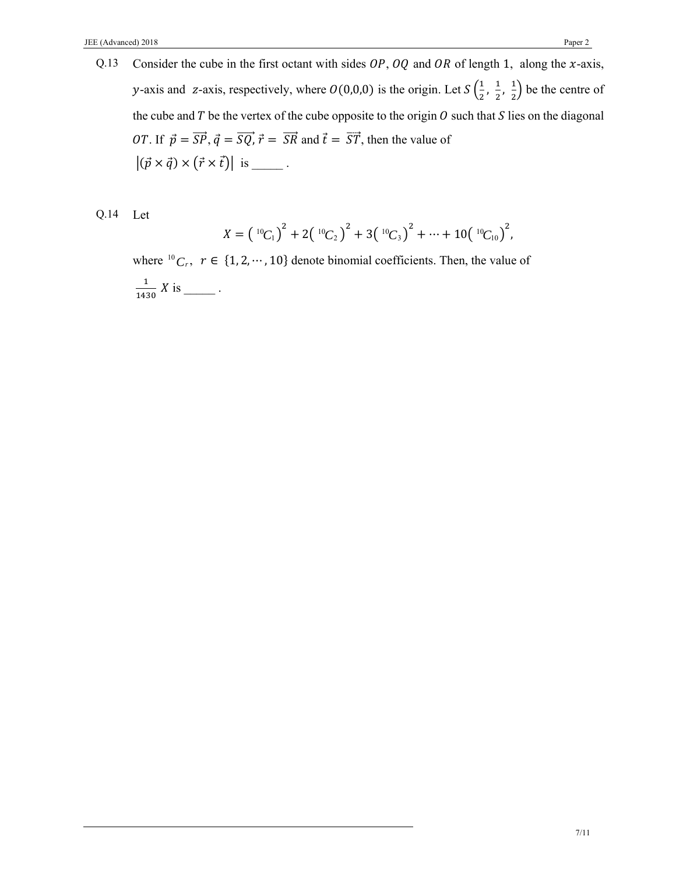Q.13 Consider the cube in the first octant with sides  $OP$ ,  $OQ$  and  $OR$  of length 1, along the x-axis, y-axis and z-axis, respectively, where  $O(0,0,0)$  is the origin. Let  $S\left(\frac{1}{2}, \frac{1}{2}, \frac{1}{2}\right)$  be the centre of the cube and T be the vertex of the cube opposite to the origin  $\hat{O}$  such that S lies on the diagonal *OT*. If  $\vec{p} = \overrightarrow{SP}, \vec{q} = \overrightarrow{SQ}, \vec{r} = \overrightarrow{SR}$  and  $\vec{t} = \overrightarrow{ST}$ , then the value of  $|(\vec{p} \times \vec{q}) \times (\vec{r} \times \vec{t})|$  is \_\_\_\_\_\_.

Q.14 Let

$$
X = \left(\begin{array}{c} {}^{10}C_1 \end{array}\right)^2 + 2\left(\begin{array}{c} {}^{10}C_2 \end{array}\right)^2 + 3\left(\begin{array}{c} {}^{10}C_3 \end{array}\right)^2 + \cdots + 10\left(\begin{array}{c} {}^{10}C_{10} \end{array}\right)^2,
$$

where  ${}^{10}C_r$ ,  $r \in \{1, 2, \dots, 10\}$  denote binomial coefficients. Then, the value of  $\mathbf 1$  $\frac{1}{1430} X$  is \_\_\_\_\_\_\_.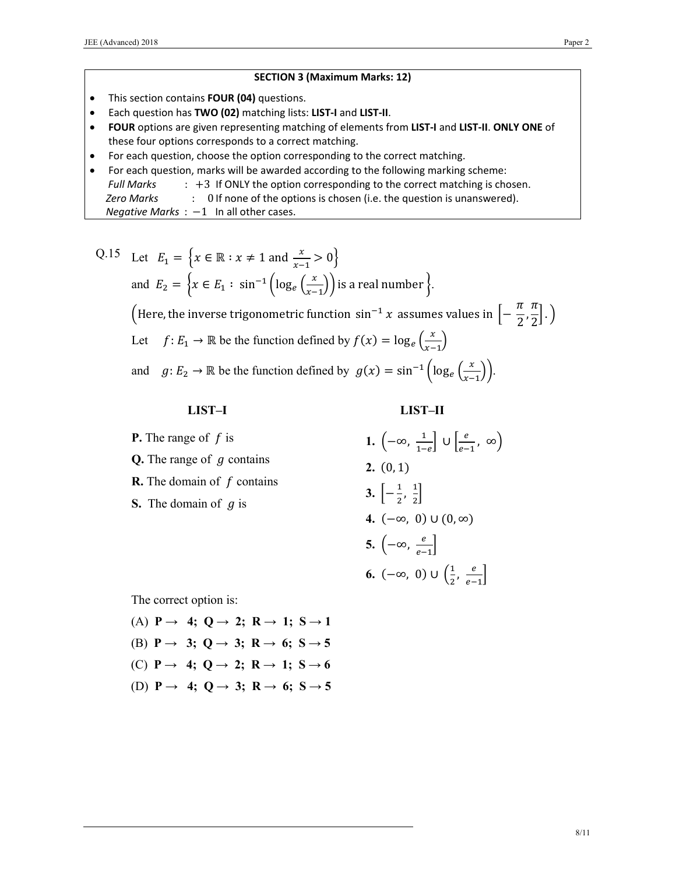### **SECTION 3 (Maximum Marks: 12)**

- This section contains **FOUR (04)** questions.
- Each question has **TWO (02)** matching lists: **LIST‐I** and **LIST‐II**.
- **FOUR** options are given representing matching of elements from **LIST‐I** and **LIST‐II**. **ONLY ONE** of these four options corresponds to a correct matching.
- For each question, choose the option corresponding to the correct matching.
- For each question, marks will be awarded according to the following marking scheme:
	- *Full Marks* : +3 If ONLY the option corresponding to the correct matching is chosen.
	- *Zero Marks* : 0 If none of the options is chosen (i.e. the question is unanswered).

*Negative Marks* :  $-1$  In all other cases.

Q.15 Let 
$$
E_1 = \{x \in \mathbb{R} : x \neq 1 \text{ and } \frac{x}{x-1} > 0\}
$$
  
and  $E_2 = \{x \in E_1 : \sin^{-1} \left( \log_e \left( \frac{x}{x-1} \right) \right) \text{ is a real number } \}.$   
(Here, the inverse trigonometric function  $\sin^{-1} x$  assumes values in  $\left[ -\frac{\pi}{2}, \frac{\pi}{2} \right].$ )  
Let  $f: E_1 \to \mathbb{R}$  be the function defined by  $f(x) = \log_e \left( \frac{x}{x-1} \right)$   
and  $g: E_2 \to \mathbb{R}$  be the function defined by  $g(x) = \sin^{-1} \left( \log_e \left( \frac{x}{x-1} \right) \right).$ 

## **LIST–I**

 **LIST–II** 

**P.** The range of  $f$  is **Q.** The range of  $g$  contains **R.** The domain of f contains **S.** The domain of  $g$  is **1.**  $\left(-\infty, \frac{1}{1-e}\right] \cup \left[\frac{e}{e-1}, \infty\right)$  $2. (0, 1)$ **3.**  $\left[-\frac{1}{2}, \frac{1}{2}\right]$ **4.**  $(-\infty, 0) \cup (0, \infty)$  $5.$   $\left(-\infty, \frac{e}{e-1}\right]$ **6.**  $(-\infty, 0) \cup \left(\frac{1}{2}, \frac{e}{e-1}\right]$ 

The correct option is:

- (A)  $P \rightarrow 4$ ;  $Q \rightarrow 2$ ;  $R \rightarrow 1$ ;  $S \rightarrow 1$ (B)  $P \rightarrow 3$ ;  $Q \rightarrow 3$ ;  $R \rightarrow 6$ ;  $S \rightarrow 5$ (C)  $P \rightarrow 4$ ;  $Q \rightarrow 2$ ;  $R \rightarrow 1$ ;  $S \rightarrow 6$
- (D) **P**  $\rightarrow$  **4;** Q  $\rightarrow$  **3;** R  $\rightarrow$  6; S  $\rightarrow$  5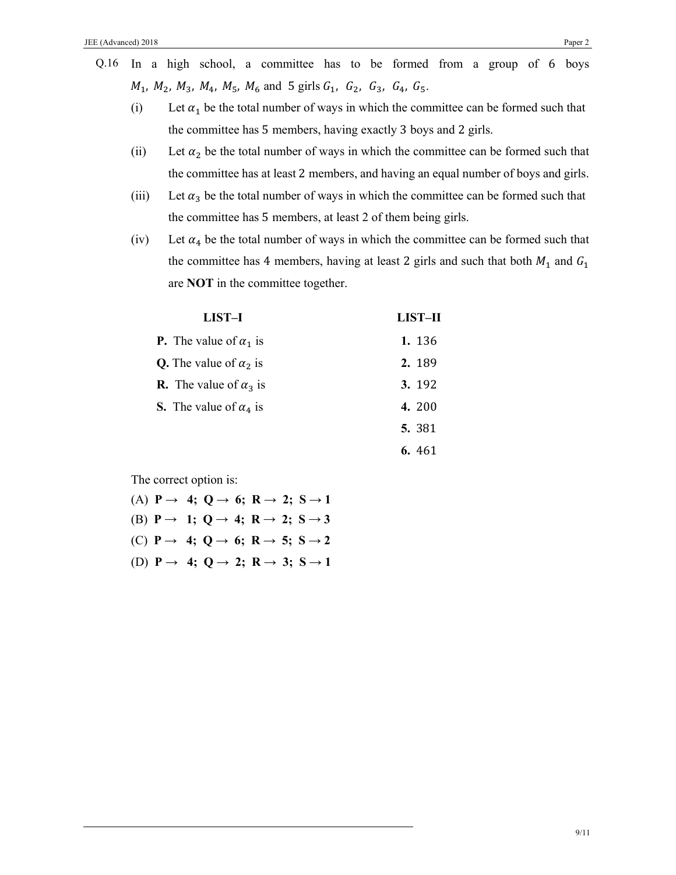- Q.16 In a high school, a committee has to be formed from a group of 6 boys  $M_1$ ,  $M_2$ ,  $M_3$ ,  $M_4$ ,  $M_5$ ,  $M_6$  and 5 girls  $G_1$ ,  $G_2$ ,  $G_3$ ,  $G_4$ ,  $G_5$ .
	- (i) Let  $\alpha_1$  be the total number of ways in which the committee can be formed such that the committee has 5 members, having exactly 3 boys and 2 girls.
	- (ii) Let  $\alpha_2$  be the total number of ways in which the committee can be formed such that the committee has at least 2 members, and having an equal number of boys and girls.
	- (iii) Let  $\alpha_3$  be the total number of ways in which the committee can be formed such that the committee has 5 members, at least 2 of them being girls.
	- (iv) Let  $\alpha_4$  be the total number of ways in which the committee can be formed such that the committee has 4 members, having at least 2 girls and such that both  $M_1$  and  $G_1$ are **NOT** in the committee together.

| LIST-I                               | <b>LIST-II</b> |
|--------------------------------------|----------------|
| <b>P.</b> The value of $\alpha_1$ is | 1. 136         |
| <b>Q.</b> The value of $\alpha_2$ is | 2.189          |
| <b>R.</b> The value of $\alpha_3$ is | <b>3.</b> 192  |
| <b>S.</b> The value of $\alpha_4$ is | 4. 200         |
|                                      | 5. 381         |
|                                      | 6.461          |

The correct option is:

|  |  |  | (A) $P \rightarrow 4$ ; $Q \rightarrow 6$ ; $R \rightarrow 2$ ; $S \rightarrow 1$ |
|--|--|--|-----------------------------------------------------------------------------------|
|  |  |  | (B) $P \rightarrow 1$ ; Q $\rightarrow 4$ ; R $\rightarrow 2$ ; S $\rightarrow 3$ |
|  |  |  | (C) $P \rightarrow 4$ ; $Q \rightarrow 6$ ; $R \rightarrow 5$ ; $S \rightarrow 2$ |
|  |  |  | (D) $P \rightarrow 4$ ; $Q \rightarrow 2$ ; $R \rightarrow 3$ ; $S \rightarrow 1$ |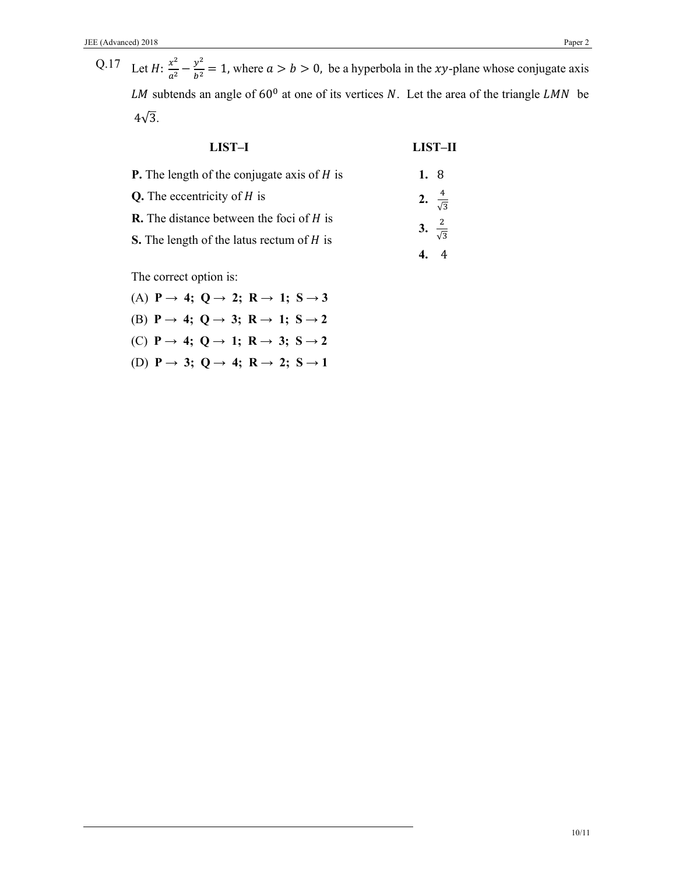Q.17 Let  $H: \frac{x^2}{a^2} - \frac{y^2}{b^2} = 1$ , where  $a > b > 0$ , be a hyperbola in the *xy*-plane whose conjugate axis LM subtends an angle of  $60^{\circ}$  at one of its vertices *N*. Let the area of the triangle LMN be  $4\sqrt{3}$ .

| <b>LIST-I</b>                                        | LIST-II                 |
|------------------------------------------------------|-------------------------|
| <b>P.</b> The length of the conjugate axis of $H$ is | 1. 8                    |
| <b>Q.</b> The eccentricity of $H$ is                 | 2. $\frac{4}{\sqrt{3}}$ |
| <b>R.</b> The distance between the foci of $H$ is    | 3. $\frac{2}{\sqrt{3}}$ |
| <b>S.</b> The length of the latus rectum of H is     |                         |
|                                                      |                         |

The correct option is:

- (A)  $P \rightarrow 4$ ;  $Q \rightarrow 2$ ;  $R \rightarrow 1$ ;  $S \rightarrow 3$
- (B)  $P \rightarrow 4$ ;  $Q \rightarrow 3$ ;  $R \rightarrow 1$ ;  $S \rightarrow 2$
- (C)  $P \rightarrow 4$ ;  $Q \rightarrow 1$ ;  $R \rightarrow 3$ ;  $S \rightarrow 2$
- (D)  $P \rightarrow 3$ ; Q  $\rightarrow 4$ ; R  $\rightarrow 2$ ; S  $\rightarrow 1$